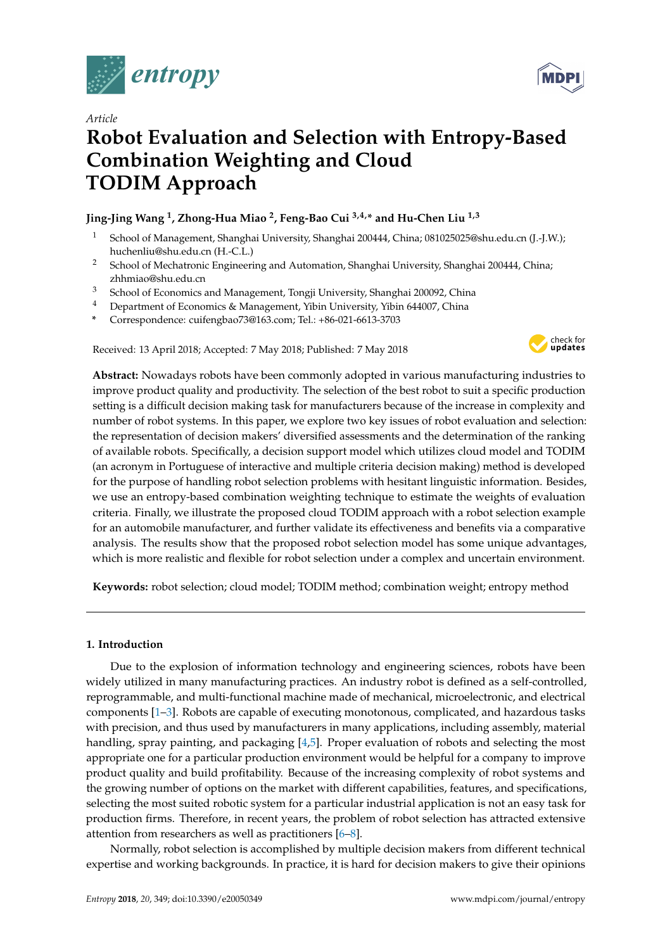



# **Robot Evaluation and Selection with Entropy-Based Combination Weighting and Cloud TODIM Approach**

# **Jing-Jing Wang <sup>1</sup> , Zhong-Hua Miao <sup>2</sup> , Feng-Bao Cui 3,4,\* and Hu-Chen Liu 1,3**

- <sup>1</sup> School of Management, Shanghai University, Shanghai 200444, China; 081025025@shu.edu.cn (J.-J.W.); huchenliu@shu.edu.cn (H.-C.L.)
- <sup>2</sup> School of Mechatronic Engineering and Automation, Shanghai University, Shanghai 200444, China; zhhmiao@shu.edu.cn
- <sup>3</sup> School of Economics and Management, Tongji University, Shanghai 200092, China
- <sup>4</sup> Department of Economics & Management, Yibin University, Yibin 644007, China
- **\*** Correspondence: cuifengbao73@163.com; Tel.: +86-021-6613-3703

Received: 13 April 2018; Accepted: 7 May 2018; Published: 7 May 2018



**Abstract:** Nowadays robots have been commonly adopted in various manufacturing industries to improve product quality and productivity. The selection of the best robot to suit a specific production setting is a difficult decision making task for manufacturers because of the increase in complexity and number of robot systems. In this paper, we explore two key issues of robot evaluation and selection: the representation of decision makers' diversified assessments and the determination of the ranking of available robots. Specifically, a decision support model which utilizes cloud model and TODIM (an acronym in Portuguese of interactive and multiple criteria decision making) method is developed for the purpose of handling robot selection problems with hesitant linguistic information. Besides, we use an entropy-based combination weighting technique to estimate the weights of evaluation criteria. Finally, we illustrate the proposed cloud TODIM approach with a robot selection example for an automobile manufacturer, and further validate its effectiveness and benefits via a comparative analysis. The results show that the proposed robot selection model has some unique advantages, which is more realistic and flexible for robot selection under a complex and uncertain environment.

**Keywords:** robot selection; cloud model; TODIM method; combination weight; entropy method

## **1. Introduction**

Due to the explosion of information technology and engineering sciences, robots have been widely utilized in many manufacturing practices. An industry robot is defined as a self-controlled, reprogrammable, and multi-functional machine made of mechanical, microelectronic, and electrical components [\[1](#page-16-0)[–3\]](#page-16-1). Robots are capable of executing monotonous, complicated, and hazardous tasks with precision, and thus used by manufacturers in many applications, including assembly, material handling, spray painting, and packaging [\[4](#page-16-2)[,5\]](#page-16-3). Proper evaluation of robots and selecting the most appropriate one for a particular production environment would be helpful for a company to improve product quality and build profitability. Because of the increasing complexity of robot systems and the growing number of options on the market with different capabilities, features, and specifications, selecting the most suited robotic system for a particular industrial application is not an easy task for production firms. Therefore, in recent years, the problem of robot selection has attracted extensive attention from researchers as well as practitioners [\[6](#page-16-4)[–8\]](#page-16-5).

Normally, robot selection is accomplished by multiple decision makers from different technical expertise and working backgrounds. In practice, it is hard for decision makers to give their opinions

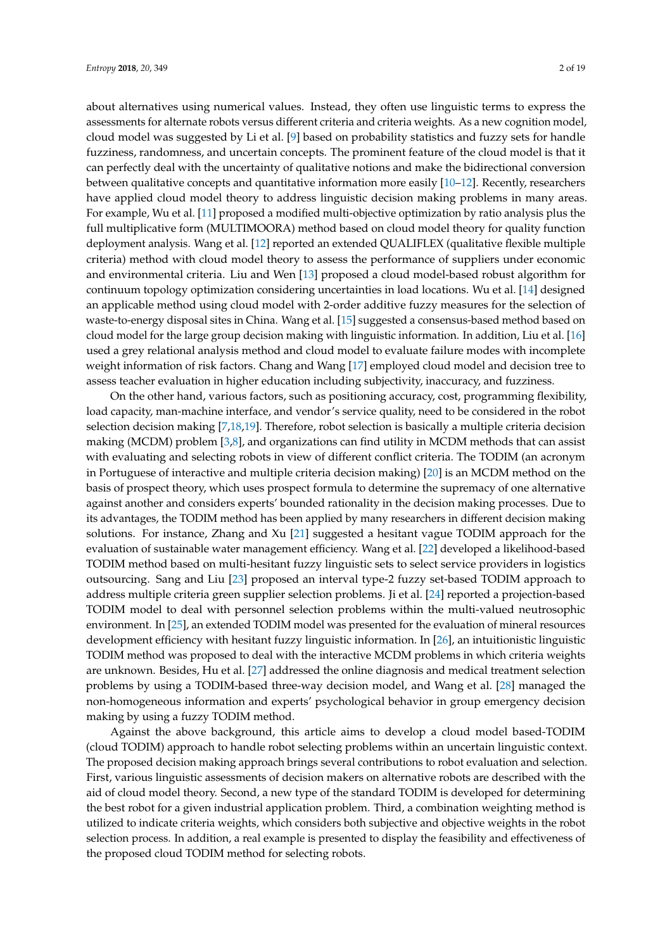about alternatives using numerical values. Instead, they often use linguistic terms to express the assessments for alternate robots versus different criteria and criteria weights. As a new cognition model, cloud model was suggested by Li et al. [\[9\]](#page-16-6) based on probability statistics and fuzzy sets for handle fuzziness, randomness, and uncertain concepts. The prominent feature of the cloud model is that it can perfectly deal with the uncertainty of qualitative notions and make the bidirectional conversion between qualitative concepts and quantitative information more easily [\[10](#page-16-7)[–12\]](#page--1-0). Recently, researchers have applied cloud model theory to address linguistic decision making problems in many areas. For example, Wu et al. [\[11\]](#page-16-8) proposed a modified multi-objective optimization by ratio analysis plus the full multiplicative form (MULTIMOORA) method based on cloud model theory for quality function deployment analysis. Wang et al. [\[12\]](#page--1-0) reported an extended QUALIFLEX (qualitative flexible multiple criteria) method with cloud model theory to assess the performance of suppliers under economic and environmental criteria. Liu and Wen [\[13\]](#page--1-1) proposed a cloud model-based robust algorithm for continuum topology optimization considering uncertainties in load locations. Wu et al. [\[14\]](#page--1-2) designed an applicable method using cloud model with 2-order additive fuzzy measures for the selection of waste-to-energy disposal sites in China. Wang et al. [\[15\]](#page--1-3) suggested a consensus-based method based on cloud model for the large group decision making with linguistic information. In addition, Liu et al. [\[16\]](#page--1-4) used a grey relational analysis method and cloud model to evaluate failure modes with incomplete weight information of risk factors. Chang and Wang [\[17\]](#page--1-5) employed cloud model and decision tree to assess teacher evaluation in higher education including subjectivity, inaccuracy, and fuzziness.

On the other hand, various factors, such as positioning accuracy, cost, programming flexibility, load capacity, man-machine interface, and vendor's service quality, need to be considered in the robot selection decision making [\[7,](#page-16-9)[18,](#page--1-6)[19\]](#page--1-7). Therefore, robot selection is basically a multiple criteria decision making (MCDM) problem  $[3,8]$  $[3,8]$ , and organizations can find utility in MCDM methods that can assist with evaluating and selecting robots in view of different conflict criteria. The TODIM (an acronym in Portuguese of interactive and multiple criteria decision making) [\[20\]](#page--1-8) is an MCDM method on the basis of prospect theory, which uses prospect formula to determine the supremacy of one alternative against another and considers experts' bounded rationality in the decision making processes. Due to its advantages, the TODIM method has been applied by many researchers in different decision making solutions. For instance, Zhang and Xu [\[21\]](#page--1-9) suggested a hesitant vague TODIM approach for the evaluation of sustainable water management efficiency. Wang et al. [\[22\]](#page--1-10) developed a likelihood-based TODIM method based on multi-hesitant fuzzy linguistic sets to select service providers in logistics outsourcing. Sang and Liu [\[23\]](#page--1-11) proposed an interval type-2 fuzzy set-based TODIM approach to address multiple criteria green supplier selection problems. Ji et al. [\[24\]](#page--1-12) reported a projection-based TODIM model to deal with personnel selection problems within the multi-valued neutrosophic environment. In [\[25\]](#page--1-13), an extended TODIM model was presented for the evaluation of mineral resources development efficiency with hesitant fuzzy linguistic information. In [\[26\]](#page--1-14), an intuitionistic linguistic TODIM method was proposed to deal with the interactive MCDM problems in which criteria weights are unknown. Besides, Hu et al. [\[27\]](#page--1-15) addressed the online diagnosis and medical treatment selection problems by using a TODIM-based three-way decision model, and Wang et al. [\[28\]](#page--1-16) managed the non-homogeneous information and experts' psychological behavior in group emergency decision making by using a fuzzy TODIM method.

Against the above background, this article aims to develop a cloud model based-TODIM (cloud TODIM) approach to handle robot selecting problems within an uncertain linguistic context. The proposed decision making approach brings several contributions to robot evaluation and selection. First, various linguistic assessments of decision makers on alternative robots are described with the aid of cloud model theory. Second, a new type of the standard TODIM is developed for determining the best robot for a given industrial application problem. Third, a combination weighting method is utilized to indicate criteria weights, which considers both subjective and objective weights in the robot selection process. In addition, a real example is presented to display the feasibility and effectiveness of the proposed cloud TODIM method for selecting robots.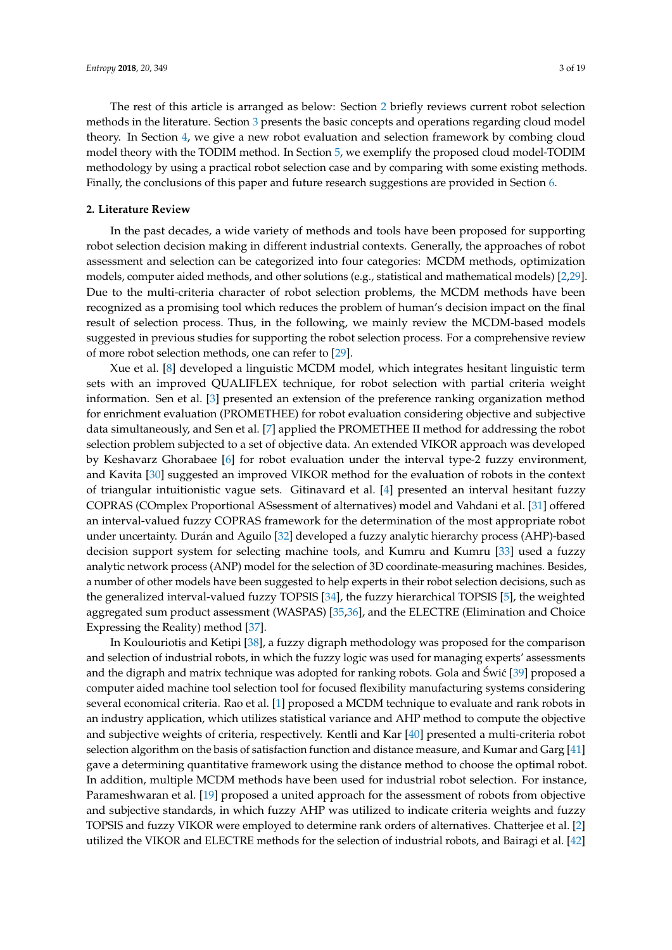The rest of this article is arranged as below: Section [2](#page-2-0) briefly reviews current robot selection methods in the literature. Section [3](#page-3-0) presents the basic concepts and operations regarding cloud model theory. In Section [4,](#page-5-0) we give a new robot evaluation and selection framework by combing cloud model theory with the TODIM method. In Section [5,](#page-9-0) we exemplify the proposed cloud model-TODIM methodology by using a practical robot selection case and by comparing with some existing methods. Finally, the conclusions of this paper and future research suggestions are provided in Section [6.](#page-15-0)

#### <span id="page-2-0"></span>**2. Literature Review**

In the past decades, a wide variety of methods and tools have been proposed for supporting robot selection decision making in different industrial contexts. Generally, the approaches of robot assessment and selection can be categorized into four categories: MCDM methods, optimization models, computer aided methods, and other solutions (e.g., statistical and mathematical models) [\[2](#page-16-10)[,29\]](#page--1-17). Due to the multi-criteria character of robot selection problems, the MCDM methods have been recognized as a promising tool which reduces the problem of human's decision impact on the final result of selection process. Thus, in the following, we mainly review the MCDM-based models suggested in previous studies for supporting the robot selection process. For a comprehensive review of more robot selection methods, one can refer to [\[29\]](#page--1-17).

Xue et al. [\[8\]](#page-16-5) developed a linguistic MCDM model, which integrates hesitant linguistic term sets with an improved QUALIFLEX technique, for robot selection with partial criteria weight information. Sen et al. [\[3\]](#page-16-1) presented an extension of the preference ranking organization method for enrichment evaluation (PROMETHEE) for robot evaluation considering objective and subjective data simultaneously, and Sen et al. [\[7\]](#page-16-9) applied the PROMETHEE II method for addressing the robot selection problem subjected to a set of objective data. An extended VIKOR approach was developed by Keshavarz Ghorabaee [\[6\]](#page-16-4) for robot evaluation under the interval type-2 fuzzy environment, and Kavita [\[30\]](#page--1-18) suggested an improved VIKOR method for the evaluation of robots in the context of triangular intuitionistic vague sets. Gitinavard et al. [\[4\]](#page-16-2) presented an interval hesitant fuzzy COPRAS (COmplex Proportional ASsessment of alternatives) model and Vahdani et al. [\[31\]](#page--1-19) offered an interval-valued fuzzy COPRAS framework for the determination of the most appropriate robot under uncertainty. Durán and Aguilo [\[32\]](#page--1-20) developed a fuzzy analytic hierarchy process (AHP)-based decision support system for selecting machine tools, and Kumru and Kumru [\[33\]](#page--1-21) used a fuzzy analytic network process (ANP) model for the selection of 3D coordinate-measuring machines. Besides, a number of other models have been suggested to help experts in their robot selection decisions, such as the generalized interval-valued fuzzy TOPSIS [\[34\]](#page--1-22), the fuzzy hierarchical TOPSIS [\[5\]](#page-16-3), the weighted aggregated sum product assessment (WASPAS) [\[35,](#page--1-23)[36\]](#page--1-24), and the ELECTRE (Elimination and Choice Expressing the Reality) method [\[37\]](#page--1-25).

In Koulouriotis and Ketipi [\[38\]](#page-17-0), a fuzzy digraph methodology was proposed for the comparison and selection of industrial robots, in which the fuzzy logic was used for managing experts' assessments and the digraph and matrix technique was adopted for ranking robots. Gola and Świć [[39\]](#page-17-1) proposed a computer aided machine tool selection tool for focused flexibility manufacturing systems considering several economical criteria. Rao et al. [\[1\]](#page-16-0) proposed a MCDM technique to evaluate and rank robots in an industry application, which utilizes statistical variance and AHP method to compute the objective and subjective weights of criteria, respectively. Kentli and Kar [\[40\]](#page-17-2) presented a multi-criteria robot selection algorithm on the basis of satisfaction function and distance measure, and Kumar and Garg [\[41\]](#page-17-3) gave a determining quantitative framework using the distance method to choose the optimal robot. In addition, multiple MCDM methods have been used for industrial robot selection. For instance, Parameshwaran et al. [\[19\]](#page--1-7) proposed a united approach for the assessment of robots from objective and subjective standards, in which fuzzy AHP was utilized to indicate criteria weights and fuzzy TOPSIS and fuzzy VIKOR were employed to determine rank orders of alternatives. Chatterjee et al. [\[2\]](#page-16-10) utilized the VIKOR and ELECTRE methods for the selection of industrial robots, and Bairagi et al. [\[42\]](#page-17-4)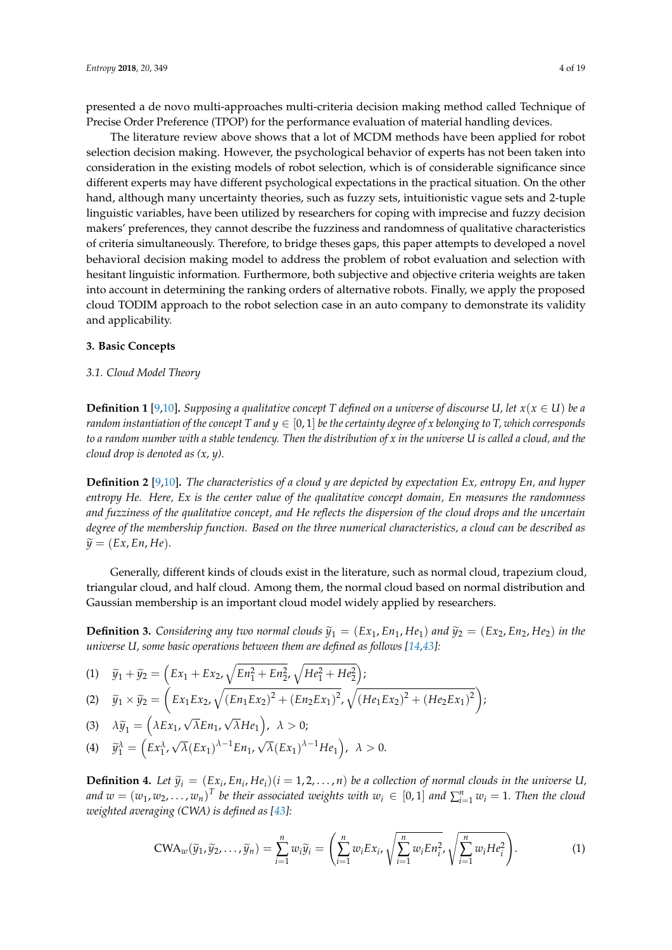presented a de novo multi-approaches multi-criteria decision making method called Technique of Precise Order Preference (TPOP) for the performance evaluation of material handling devices.

The literature review above shows that a lot of MCDM methods have been applied for robot selection decision making. However, the psychological behavior of experts has not been taken into consideration in the existing models of robot selection, which is of considerable significance since different experts may have different psychological expectations in the practical situation. On the other hand, although many uncertainty theories, such as fuzzy sets, intuitionistic vague sets and 2-tuple linguistic variables, have been utilized by researchers for coping with imprecise and fuzzy decision makers' preferences, they cannot describe the fuzziness and randomness of qualitative characteristics of criteria simultaneously. Therefore, to bridge theses gaps, this paper attempts to developed a novel behavioral decision making model to address the problem of robot evaluation and selection with hesitant linguistic information. Furthermore, both subjective and objective criteria weights are taken into account in determining the ranking orders of alternative robots. Finally, we apply the proposed cloud TODIM approach to the robot selection case in an auto company to demonstrate its validity and applicability.

#### <span id="page-3-0"></span>**3. Basic Concepts**

#### *3.1. Cloud Model Theory*

**Definition 1** [\[9](#page-16-6)[,10\]](#page-16-7)**.** *Supposing a qualitative concept T defined on a universe of discourse U, let*  $x(x \in U)$  *be a random instantiation of the concept* T and  $y \in [0,1]$  *be the certainty degree of x belonging to* T, which corresponds *to a random number with a stable tendency. Then the distribution of x in the universe U is called a cloud, and the cloud drop is denoted as (x, y).*

**Definition 2** [\[9,](#page-16-6)[10\]](#page-16-7)**.** *The characteristics of a cloud y are depicted by expectation Ex, entropy En, and hyper entropy He. Here, Ex is the center value of the qualitative concept domain, En measures the randomness and fuzziness of the qualitative concept, and He reflects the dispersion of the cloud drops and the uncertain degree of the membership function. Based on the three numerical characteristics, a cloud can be described as*  $\widetilde{y} = (Ex, En, He).$ 

Generally, different kinds of clouds exist in the literature, such as normal cloud, trapezium cloud, triangular cloud, and half cloud. Among them, the normal cloud based on normal distribution and Gaussian membership is an important cloud model widely applied by researchers.

**Definition 3.** Considering any two normal clouds  $\tilde{y}_1 = (Ex_1, En_1, He_1)$  and  $\tilde{y}_2 = (Ex_2, En_2, He_2)$  in the *universe U, some basic operations between them are defined as follows [\[14,](#page--1-2)[43\]](#page-17-5):* 

(1) 
$$
\tilde{y}_1 + \tilde{y}_2 = \left( Ex_1 + Ex_2, \sqrt{En_1^2 + En_2^2}, \sqrt{He_1^2 + He_2^2} \right);
$$
  
\n(2)  $\tilde{x} \times \tilde{x} = \left( Ex_1 Ex_2, \sqrt{(En_1 Ex_2)^2 + (En_2 Ex_2)^2}, \sqrt{(Ha_1)E_2} \right);$ 

(2) 
$$
\tilde{y}_1 \times \tilde{y}_2 = \left( Ex_1 Ex_2, \sqrt{(En_1 Ex_2)^2 + (En_2 Ex_1)^2}, \sqrt{(He_1 Ex_2)^2 + (He_2 Ex_1)^2} \right);
$$

(3)  $\lambda \tilde{y}_1 = \left(\lambda E x_1, \right)$ *λEn*1,  $(\overline{\lambda}He_1\right)$ ,  $\lambda > 0$ ;

(4) 
$$
\widetilde{y}_1^{\lambda} = (Ex_1^{\lambda}, \sqrt{\lambda}(Ex_1)^{\lambda-1}En_1, \sqrt{\lambda}(Ex_1)^{\lambda-1}He_1), \lambda > 0.
$$

**Definition 4.** Let  $\widetilde{y}_i = (E x_i, E n_i, He_i)(i = 1, 2, ..., n)$  be a collection of normal clouds in the universe U, *and*  $w = (w_1, w_2, \ldots, w_n)^T$  *be their associated weights with*  $w_i \in [0,1]$  *and*  $\sum_{i=1}^n w_i = 1$ *. Then the cloud weighted averaging (CWA) is defined as [\[43\]](#page-17-5):*

$$
\text{CWA}_{w}(\widetilde{y}_{1},\widetilde{y}_{2},\ldots,\widetilde{y}_{n})=\sum_{i=1}^{n}w_{i}\widetilde{y}_{i}=\left(\sum_{i=1}^{n}w_{i}Ex_{i},\sqrt{\sum_{i=1}^{n}w_{i}En_{i}^{2}},\sqrt{\sum_{i=1}^{n}w_{i}He_{i}^{2}}\right).
$$
 (1)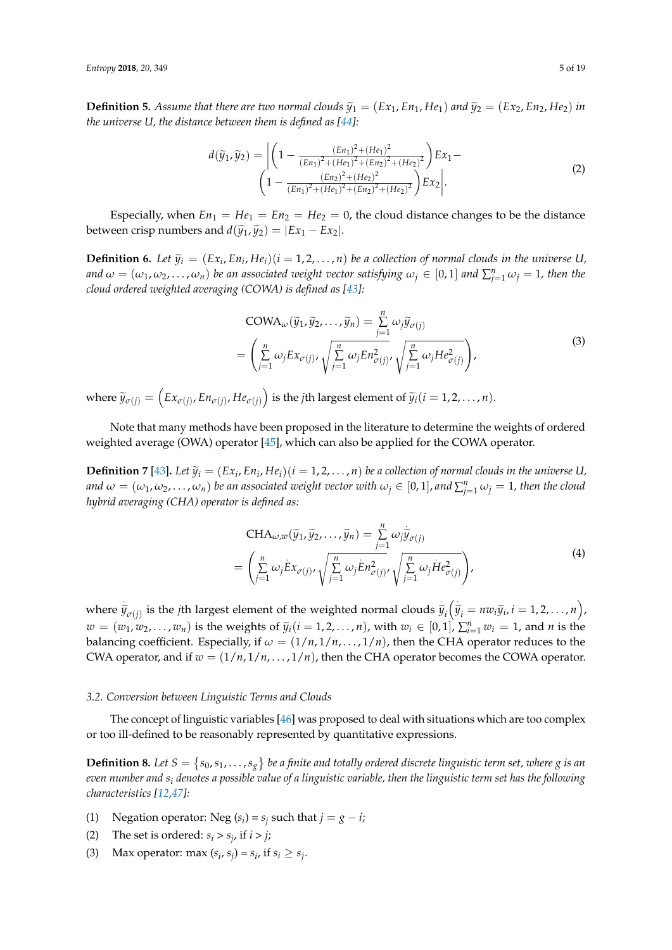**Definition 5.** Assume that there are two normal clouds  $\widetilde{y}_1 = (Ex_1, En_1, He_1)$  and  $\widetilde{y}_2 = (Ex_2, En_2, He_2)$  in *the universe U, the distance between them is defined as [\[44\]](#page-17-6):*

$$
d(\widetilde{y}_1, \widetilde{y}_2) = \left| \left( 1 - \frac{(En_1)^2 + (He_1)^2}{(En_1)^2 + (He_1)^2 + (En_2)^2 + (He_2)^2} \right) Ex_1 - \left( 1 - \frac{(En_2)^2 + (He_2)^2}{(En_1)^2 + (He_1)^2 + (En_2)^2 + (He_2)^2} \right) Ex_2 \right|.
$$
\n(2)

Especially, when  $En_1 = He_1 = En_2 = He_2 = 0$ , the cloud distance changes to be the distance between crisp numbers and  $d(\tilde{y}_1, \tilde{y}_2) = |Ex_1 - Ex_2|$ .

**Definition 6.** Let  $\widetilde{y}_i = (Ex_i, En_i, He_i)(i = 1, 2, ..., n)$  be a collection of normal clouds in the universe U, *and*  $\omega = (\omega_1, \omega_2, \dots, \omega_n)$  be an associated weight vector satisfying  $\omega_j \in [0,1]$  and  $\sum_{j=1}^n \omega_j = 1$ , then the *cloud ordered weighted averaging (COWA) is defined as [\[43\]](#page-17-5):*

$$
COMA_{\omega}(\widetilde{y}_1, \widetilde{y}_2, \dots, \widetilde{y}_n) = \sum_{j=1}^n \omega_j \widetilde{y}_{\sigma(j)}
$$
  
= 
$$
\left( \sum_{j=1}^n \omega_j E x_{\sigma(j)}, \sqrt{\sum_{j=1}^n \omega_j E n_{\sigma(j)}^2}, \sqrt{\sum_{j=1}^n \omega_j H e_{\sigma(j)}^2} \right),
$$
 (3)

 $\text{where } \widetilde{y}_{\sigma(j)} = \left( Ex_{\sigma(j)}, En_{\sigma(j)}, He_{\sigma(j)} \right) \text{ is the } j\text{th largest element of } \widetilde{y}_i (i = 1, 2, \ldots, n).$ 

Note that many methods have been proposed in the literature to determine the weights of ordered weighted average (OWA) operator [\[45\]](#page-17-7), which can also be applied for the COWA operator.

**Definition 7** [\[43\]](#page-17-5). Let  $\widetilde{y}_i = (Ex_i, En_i, He_i)$   $(i = 1, 2, ..., n)$  be a collection of normal clouds in the universe U,  $i$  *and*  $\omega = (\omega_1, \omega_2, \dots, \omega_n)$  *be an associated weight vector with*  $\omega_j \in [0,1]$ *, and*  $\sum_{j=1}^n \omega_j = 1$ *, then the cloud hybrid averaging (CHA) operator is defined as:*

$$
\text{CHA}_{\omega,w}(\widetilde{y}_1, \widetilde{y}_2, \dots, \widetilde{y}_n) = \sum_{j=1}^n \omega_j \widetilde{y}_{\sigma(j)}
$$
\n
$$
= \left( \sum_{j=1}^n \omega_j \dot{E} x_{\sigma(j)}, \sqrt{\sum_{j=1}^n \omega_j \dot{E} n_{\sigma(j)}^2}, \sqrt{\sum_{j=1}^n \omega_j \dot{H} e_{\sigma(j)}^2} \right),
$$
\n(4)

where  $\tilde{y}_{\sigma(j)}$  is the *j*th largest element of the weighted normal clouds  $\tilde{y}_i(\tilde{y}_i = n w_i \tilde{y}_i, i = 1, 2, ..., n)$ ,  $w = (w_1, w_2, \dots, w_n)$  is the weights of  $\widetilde{y}_i (i = 1, 2, \dots, n)$ , with  $w_i \in [0, 1]$ ,  $\sum_{i=1}^n w_i = 1$ , and *n* is the balancing coefficient. Especially, if  $\omega = (1/n, 1/n, ..., 1/n)$ , then the CHA operator reduces to the CWA operator, and if  $w = (1/n, 1/n, ..., 1/n)$ , then the CHA operator becomes the COWA operator.

#### <span id="page-4-0"></span>*3.2. Conversion between Linguistic Terms and Clouds*

The concept of linguistic variables [\[46\]](#page-17-8) was proposed to deal with situations which are too complex or too ill-defined to be reasonably represented by quantitative expressions.

**Definition 8.** Let  $S = \{s_0, s_1, \ldots, s_g\}$  be a finite and totally ordered discrete linguistic term set, where g is an *even number and s<sup>i</sup> denotes a possible value of a linguistic variable, then the linguistic term set has the following characteristics [\[12](#page--1-0)[,47\]](#page-17-9):*

(1) Negation operator: Neg  $(s_i) = s_j$  such that  $j = g - i$ ;

- (2) The set is ordered:  $s_i > s_j$ , if  $i > j$ ;
- (3) Max operator: max  $(s_i, s_j) = s_i$ , if  $s_i \geq s_j$ .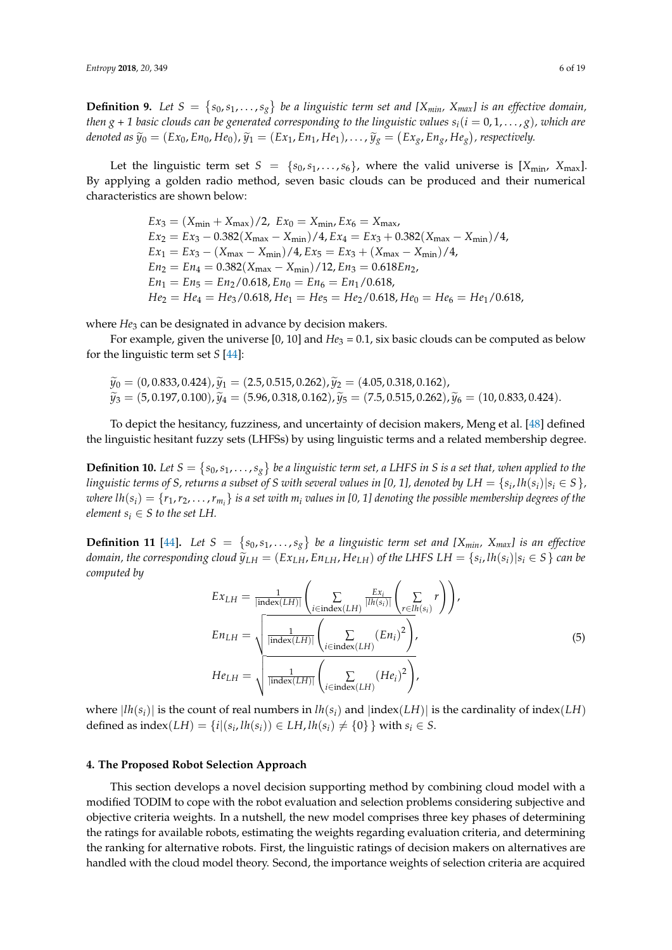**Definition 9.** Let  $S = \{s_0, s_1, \ldots, s_g\}$  be a linguistic term set and [X<sub>min</sub>, X<sub>max</sub>] is an effective domain, *then g* + 1 *basic clouds can be generated corresponding to the linguistic values*  $s_i$  ( $i = 0, 1, ..., g$ ), which are denoted as  $\widetilde{y}_0 = (Ex_0, En_0, He_0), \widetilde{y}_1 = (Ex_1, En_1, He_1), \dots, \widetilde{y}_g = (Ex_g, En_g, He_g),$  respectively.

Let the linguistic term set  $S = \{s_0, s_1, \ldots, s_6\}$ , where the valid universe is  $[X_{\text{min}}, X_{\text{max}}]$ . By applying a golden radio method, seven basic clouds can be produced and their numerical characteristics are shown below:

> $Ex_3 = (X_{\text{min}} + X_{\text{max}})/2$ ,  $Ex_0 = X_{\text{min}}$ ,  $Ex_6 = X_{\text{max}}$ ,  $Ex_2 = Ex_3 - 0.382(X_{\text{max}} - X_{\text{min}})/4$ ,  $Ex_4 = Ex_3 + 0.382(X_{\text{max}} - X_{\text{min}})/4$ ,  $Ex_1 = Ex_3 - (X_{\text{max}} - X_{\text{min}})/4$ ,  $Ex_5 = Ex_3 + (X_{\text{max}} - X_{\text{min}})/4$ ,  $En_2 = En_4 = 0.382(X_{\text{max}} - X_{\text{min}})/12, En_3 = 0.618En_2,$  $En_1 = En_5 = En_2/0.618, En_0 = En_6 = En_1/0.618,$  $He_2 = He_4 = He_3/0.618$ ,  $He_1 = He_5 = He_2/0.618$ ,  $He_0 = He_6 = He_1/0.618$ ,

where *He*<sub>3</sub> can be designated in advance by decision makers.

For example, given the universe [0, 10] and *He*<sub>3</sub> = 0.1, six basic clouds can be computed as below for the linguistic term set *S* [\[44\]](#page-17-6):

$$
\tilde{y}_0 = (0, 0.833, 0.424), \tilde{y}_1 = (2.5, 0.515, 0.262), \tilde{y}_2 = (4.05, 0.318, 0.162), \n\tilde{y}_3 = (5, 0.197, 0.100), \tilde{y}_4 = (5.96, 0.318, 0.162), \tilde{y}_5 = (7.5, 0.515, 0.262), \tilde{y}_6 = (10, 0.833, 0.424).
$$

To depict the hesitancy, fuzziness, and uncertainty of decision makers, Meng et al. [\[48\]](#page-17-10) defined the linguistic hesitant fuzzy sets (LHFSs) by using linguistic terms and a related membership degree.

**Definition 10.** Let  $S = \{s_0, s_1, \ldots, s_g\}$  be a linguistic term set, a LHFS in S is a set that, when applied to the *linguistic terms of S, returns a subset of S with several values in [0, 1], denoted by*  $LH = \{s_i, lh(s_i) | s_i \in S\}$ *,*  $where\ lh(s_i)=\{r_1,r_2,\ldots,r_{m_i}\}$  is a set with  $m_i$  values in [0, 1] denoting the possible membership degrees of the *element*  $s_i \in S$  *to the set LH.* 

**Definition 11** [\[44\]](#page-17-6). Let  $S = \{s_0, s_1, \ldots, s_g\}$  be a linguistic term set and [X<sub>*min*</sub>, X<sub>*max*</sub>] is an effective domain, the corresponding cloud  $\widetilde{y}_{LH} = (Ex_{LH}, En_{LH}, He_{LH})$  of the LHFS LH  $= \{s_i, lh(s_i) | s_i \in S\}$  can be *computed by*

$$
Ex_{LH} = \frac{1}{|\text{index}(LH)|} \left( \sum_{i \in \text{index}(LH)} \frac{Ex_i}{|Ih(s_i)|} \left( \sum_{r \in lh(s_i)} r \right) \right),
$$
  
\n
$$
En_{LH} = \sqrt{\frac{1}{|\text{index}(LH)|} \left( \sum_{i \in \text{index}(LH)} (En_i)^2 \right)},
$$
  
\n
$$
He_{LH} = \sqrt{\frac{1}{|\text{index}(LH)|} \left( \sum_{i \in \text{index}(LH)} (He_i)^2 \right)},
$$
\n(5)

where  $|lh(s_i)|$  is the count of real numbers in  $lh(s_i)$  and  $|index(LH)|$  is the cardinality of index(*LH*) defined as  $index(LH) = {i | (s_i, lh(s_i)) ∈ LH, lh(s_i) ≠ {0}}$  with  $s_i ∈ S$ .

#### <span id="page-5-0"></span>**4. The Proposed Robot Selection Approach**

This section develops a novel decision supporting method by combining cloud model with a modified TODIM to cope with the robot evaluation and selection problems considering subjective and objective criteria weights. In a nutshell, the new model comprises three key phases of determining the ratings for available robots, estimating the weights regarding evaluation criteria, and determining the ranking for alternative robots. First, the linguistic ratings of decision makers on alternatives are handled with the cloud model theory. Second, the importance weights of selection criteria are acquired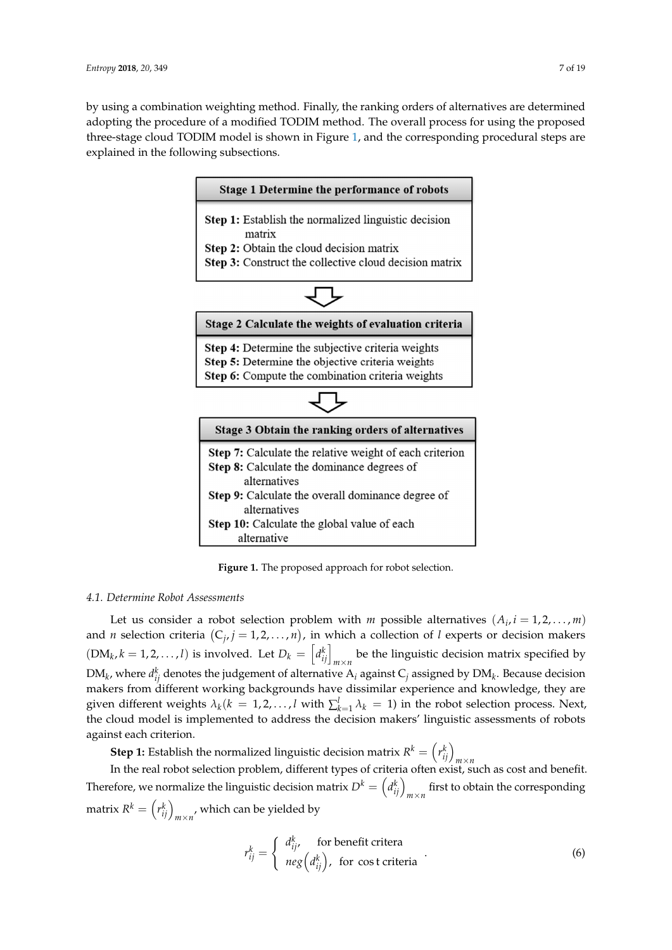<span id="page-6-0"></span>by using a combination weighting method. Finally, the ranking orders of alternatives are determined adopting the procedure of a modified TODIM method. The overall process for using the proposed three-stage cloud [TO](#page-6-0)DIM model is shown in Figure 1, and the corresponding procedural steps are explained in the following subsections.



**Figure 1.** The proposed approach for robot selection. **Figure 1.** The proposed approach for robot selection.

# *4.1. Determine Robot Assessments 4.1. Determine Robot Assessments*

Let us consider a robot selection problem with *m* possible alternatives  $(A_i, i = 1, 2, ..., m)$ and *n* selection criteria  $(C_j, j = 1, 2, ..., n)$ , in which a collection of *l* experts or decision makers  $(DM_k, k = 1, 2, ..., l)$  is involved. Let  $D_k = \left[d_{ij}^k\right]_{m \times n}$  be the linguistic decision matrix specified by  $\frac{1}{2}$  and  $\frac{1}{2}$  and  $\frac{1}{2}$  and  $\frac{1}{2}$  and  $\frac{1}{2}$  and  $\frac{1}{2}$  and  $\frac{1}{2}$  and  $\frac{1}{2}$  and  $\frac{1}{2}$  and  $\frac{1}{2}$  and  $\frac{1}{2}$  and  $\frac{1}{2}$  and  $\frac{1}{2}$  and  $\frac{1}{2}$  and  $\frac{1}{2}$  and  $\frac{1}{2}$  a given different weights  $\lambda_k (k = 1, 2, ..., l$  with  $\sum_{k=1}^{l} \lambda_k = 1)$  in the robot selection process. Next, the cloud model is implemented to address the decision makers' linguistic assessments of robots commute code is interested to address the decision makers the decision makers of  $\binom{k}{k}$ DM<sub>k</sub>, where  $d_{ij}^k$  denotes the judgement of alternative  $A_i$  against  $C_j$  assigned by DM<sub>k</sub>. Because decision against each criterion.

**Step 1:** Establish the normalized linguistic decision matrix  $R^k = \left(r_{ij}^k\right)_{m \times n}$ <br>In the real robot selection problem, different types of criteria often exist, such as cost and benefit. Therefore, we normalize the linguistic decision matrix  $D^k = \left(d^k_{ij}\right)_{m\times n}$  first to obtain the corresponding matrix  $R^k = \left(r_{ij}^k\right)_{m \times n'}$ , which can be yielded by

$$
r_{ij}^k = \begin{cases} d_{ij'}^k & \text{for benefit criteria} \\ neg\left(d_{ij}^k\right), & \text{for cost criteria} \end{cases}
$$
 (6)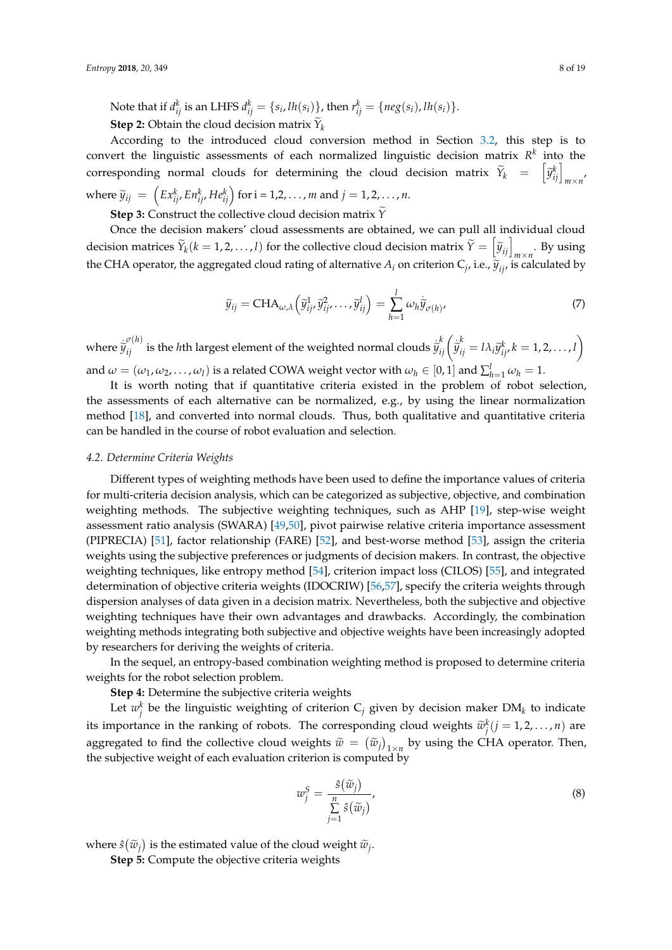Note that if  $d_{ij}^k$  is an LHFS  $d_{ij}^k = \{s_i, lh(s_i)\}$ , then  $r_{ij}^k = \{neg(s_i), lh(s_i)\}.$ **Step 2:** Obtain the cloud decision matrix  $Y_k$ 

According to the introduced cloud conversion method in Section [3.2,](#page-4-0) this step is to convert the linguistic assessments of each normalized linguistic decision matrix *R k* into the corresponding normal clouds for determining the cloud decision matrix  $\widetilde{Y}_k = \begin{bmatrix} \widetilde{y}_{ij}^k \end{bmatrix}_{m \times n'}$ 

where  $\widetilde{y}_{ij} = \left( E x_{ij}^k, E n_{ij}^k, H e_{ij}^k \right)$  for  $i = 1, 2, ..., m$  and  $j = 1, 2, ..., n$ .

**Step 3:** Construct the collective cloud decision matrix  $\widetilde{Y}$ 

Once the decision makers' cloud assessments are obtained, we can pull all individual cloud decision matrices  $\widetilde{Y}_k(k = 1, 2, ..., l)$  for the collective cloud decision matrix  $\widetilde{Y} = \left[\widetilde{y}_{ij}\right]_{m \times n}$ . By using the CHA operator, the aggregated cloud rating of alternative  $A_i$  on criterion  $C_j$ , i.e.,  $\widetilde{y}_{ij}$ , is calculated by

$$
\widetilde{y}_{ij} = \text{CHA}_{\omega,\lambda} \left( \widetilde{y}_{ij}^1, \widetilde{y}_{ij}^2, \dots, \widetilde{y}_{ij}^l \right) = \sum_{h=1}^l \omega_h \widetilde{y}_{\sigma(h)},\tag{7}
$$

where  $\hat{\tilde{y}}_{ij}^{(\ell)}$  is the *h*th largest element of the weighted normal clouds  $\hat{\tilde{y}}_{ij}^k(\hat{\tilde{y}}_{ij}^k = l\lambda_i \tilde{y}_{ij}^k, k = 1, 2, ..., l)$ and  $\omega = (\omega_1, \omega_2, \dots, \omega_l)$  is a related COWA weight vector with  $\omega_h \in [0,1]$  and  $\sum_{h=1}^{l} \omega_h = 1$ .

It is worth noting that if quantitative criteria existed in the problem of robot selection, the assessments of each alternative can be normalized, e.g., by using the linear normalization method [\[18\]](#page--1-6), and converted into normal clouds. Thus, both qualitative and quantitative criteria can be handled in the course of robot evaluation and selection.

#### *4.2. Determine Criteria Weights*

Different types of weighting methods have been used to define the importance values of criteria for multi-criteria decision analysis, which can be categorized as subjective, objective, and combination weighting methods. The subjective weighting techniques, such as AHP [\[19\]](#page--1-7), step-wise weight assessment ratio analysis (SWARA) [\[49,](#page-17-11)[50\]](#page-17-12), pivot pairwise relative criteria importance assessment (PIPRECIA) [\[51\]](#page-17-13), factor relationship (FARE) [\[52\]](#page-17-14), and best-worse method [\[53\]](#page-17-15), assign the criteria weights using the subjective preferences or judgments of decision makers. In contrast, the objective weighting techniques, like entropy method [\[54\]](#page-17-16), criterion impact loss (CILOS) [\[55\]](#page-17-17), and integrated determination of objective criteria weights (IDOCRIW) [\[56](#page-17-18)[,57\]](#page-17-19), specify the criteria weights through dispersion analyses of data given in a decision matrix. Nevertheless, both the subjective and objective weighting techniques have their own advantages and drawbacks. Accordingly, the combination weighting methods integrating both subjective and objective weights have been increasingly adopted by researchers for deriving the weights of criteria.

In the sequel, an entropy-based combination weighting method is proposed to determine criteria weights for the robot selection problem.

**Step 4:** Determine the subjective criteria weights

Let  $w_j^k$  be the linguistic weighting of criterion  $C_j$  given by decision maker  $DM_k$  to indicate its importance in the ranking of robots. The corresponding cloud weights  $\tilde{w}_j^k$   $(j = 1, 2, ..., n)$  are aggregated to find the collective cloud weights  $\tilde{w} = (\tilde{w}_j)_{1 \times n}$  by using the CHA operator. Then, the subjective weight of each evaluation criterion is computed by

$$
w_j^S = \frac{\hat{s}(\tilde{w}_j)}{\sum\limits_{j=1}^n \hat{s}(\tilde{w}_j)},
$$
\n(8)

where  $\hat{s}(\tilde{w}_j)$  is the estimated value of the cloud weight  $\tilde{w}_j$ .

**Step 5:** Compute the objective criteria weights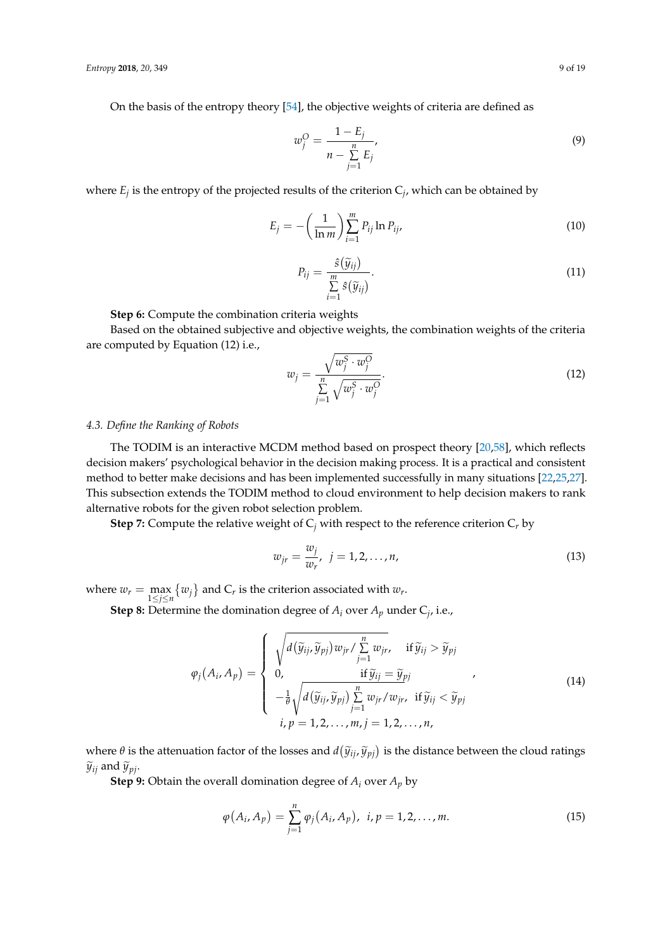On the basis of the entropy theory [\[54\]](#page-17-16), the objective weights of criteria are defined as

$$
w_j^O = \frac{1 - E_j}{n - \sum_{j=1}^n E_j},
$$
\n(9)

where  $E_j$  is the entropy of the projected results of the criterion  $C_j$ , which can be obtained by

$$
E_j = -\left(\frac{1}{\ln m}\right) \sum_{i=1}^m P_{ij} \ln P_{ij}, \qquad (10)
$$

$$
P_{ij} = \frac{\hat{s}(\widetilde{y}_{ij})}{\sum\limits_{i=1}^{m} \hat{s}(\widetilde{y}_{ij})}.
$$
\n(11)

**Step 6:** Compute the combination criteria weights

Based on the obtained subjective and objective weights, the combination weights of the criteria are computed by Equation (12) i.e.,

$$
w_j = \frac{\sqrt{w_j^S \cdot w_j^O}}{\sum\limits_{j=1}^n \sqrt{w_j^S \cdot w_j^O}}.
$$
\n(12)

### *4.3. Define the Ranking of Robots*

The TODIM is an interactive MCDM method based on prospect theory [\[20](#page--1-8)[,58\]](#page-17-20), which reflects decision makers' psychological behavior in the decision making process. It is a practical and consistent method to better make decisions and has been implemented successfully in many situations [\[22](#page--1-10)[,25](#page--1-13)[,27\]](#page--1-15). This subsection extends the TODIM method to cloud environment to help decision makers to rank alternative robots for the given robot selection problem.

**Step 7:** Compute the relative weight of  $C_i$  with respect to the reference criterion  $C_r$  by

$$
w_{jr} = \frac{w_j}{w_r}, \ \ j = 1, 2, \dots, n,
$$
\n(13)

where  $w_r = \max_{1 \leq j \leq n} \{w_j\}$  and  $C_r$  is the criterion associated with  $w_r$ .

**Step 8:** Determine the domination degree of *A<sup>i</sup>* over *A<sup>p</sup>* under C*<sup>j</sup>* , i.e.,

$$
\varphi_j(A_i, A_p) = \begin{cases}\n\sqrt{d(\widetilde{y}_{ij}, \widetilde{y}_{pj}) w_{jr}} / \sum_{j=1}^n w_{jr}, & \text{if } \widetilde{y}_{ij} > \widetilde{y}_{pj} \\
0, & \text{if } \widetilde{y}_{ij} = \widetilde{y}_{pj} \\
-\frac{1}{\theta} \sqrt{d(\widetilde{y}_{ij}, \widetilde{y}_{pj}) \sum_{j=1}^n w_{jr}} / w_{jr}, & \text{if } \widetilde{y}_{ij} < \widetilde{y}_{pj} \\
i, p = 1, 2, \dots, m, j = 1, 2, \dots, n,\n\end{cases}
$$
\n(14)

where  $\theta$  is the attenuation factor of the losses and  $d(\widetilde{y}_{ij}, \widetilde{y}_{pj})$  is the distance between the cloud ratings  $\widetilde{z}_{j}$  and  $\widetilde{z}_{j}$  $\widetilde{y}_{ij}$  and  $\widetilde{y}_{pi}$ .

**Step 9:** Obtain the overall domination degree of  $A_i$  over  $A_p$  by

$$
\varphi(A_i, A_p) = \sum_{j=1}^n \varphi_j(A_i, A_p), \ \ i, p = 1, 2, \dots, m. \tag{15}
$$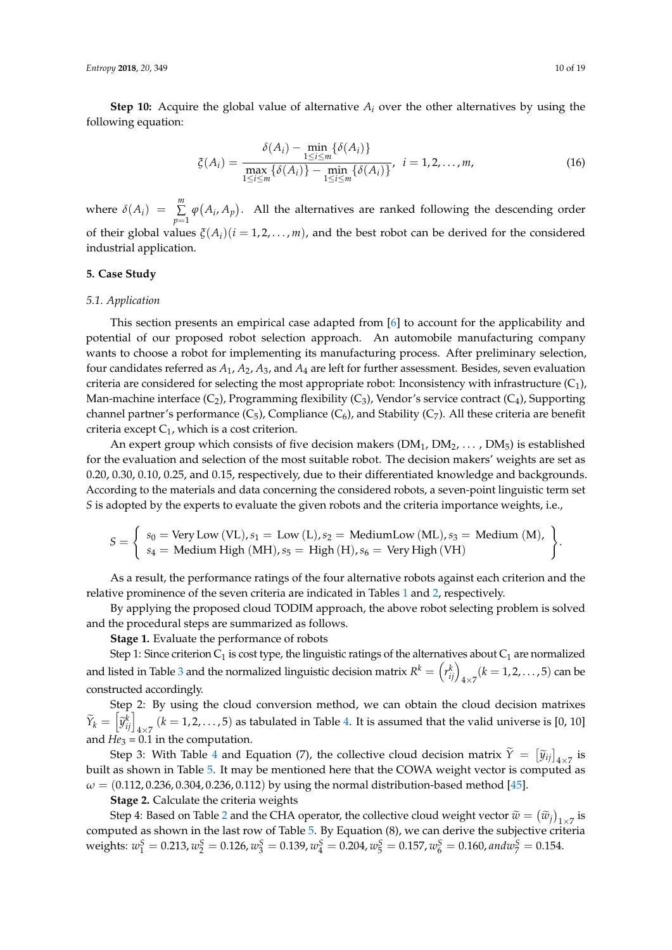**Step 10:** Acquire the global value of alternative  $A_i$  over the other alternatives by using the following equation:

$$
\xi(A_i) = \frac{\delta(A_i) - \min_{1 \le i \le m} \{\delta(A_i)\}}{\max_{1 \le i \le m} \{\delta(A_i)\} - \min_{1 \le i \le m} \{\delta(A_i)\}}, \quad i = 1, 2, ..., m,
$$
\n(16)

where  $\delta(A_i) = \sum_{i=1}^{m}$  $\sum_{p=1} \varphi(A_i, A_p)$ . All the alternatives are ranked following the descending order of their global values  $\xi(A_i)(i=1,2,\ldots,m)$ , and the best robot can be derived for the considered industrial application.

#### <span id="page-9-0"></span>**5. Case Study**

#### *5.1. Application*

This section presents an empirical case adapted from [\[6\]](#page-16-4) to account for the applicability and potential of our proposed robot selection approach. An automobile manufacturing company wants to choose a robot for implementing its manufacturing process. After preliminary selection, four candidates referred as *A*1, *A*2, *A*3, and *A*<sup>4</sup> are left for further assessment. Besides, seven evaluation criteria are considered for selecting the most appropriate robot: Inconsistency with infrastructure  $(C_1)$ , Man-machine interface  $(C_2)$ , Programming flexibility  $(C_3)$ , Vendor's service contract  $(C_4)$ , Supporting channel partner's performance  $(C_5)$ , Compliance  $(C_6)$ , and Stability  $(C_7)$ . All these criteria are benefit criteria except  $C_1$ , which is a cost criterion.

An expert group which consists of five decision makers  $(DM_1, DM_2, \ldots, DM_5)$  is established for the evaluation and selection of the most suitable robot. The decision makers' weights are set as 0.20, 0.30, 0.10, 0.25, and 0.15, respectively, due to their differentiated knowledge and backgrounds. According to the materials and data concerning the considered robots, a seven-point linguistic term set *S* is adopted by the experts to evaluate the given robots and the criteria importance weights, i.e.,

$$
S = \left\{ \begin{array}{l} s_0 = \text{Very Low (VL)}, s_1 = \text{ Low (L)}, s_2 = \text{ Medium Low (ML)}, s_3 = \text{ Medium (M)}, \\ s_4 = \text{ Medium High (MH)}, s_5 = \text{ High (H)}, s_6 = \text{ Very High (VH)} \end{array} \right\}.
$$

As a result, the performance ratings of the four alternative robots against each criterion and the relative prominence of the seven criteria are indicated in Tables [1](#page-11-0) and [2,](#page-11-1) respectively.

By applying the proposed cloud TODIM approach, the above robot selecting problem is solved and the procedural steps are summarized as follows.

**Stage 1.** Evaluate the performance of robots

Step 1: Since criterion  $C_1$  is cost type, the linguistic ratings of the alternatives about  $C_1$  are normalized and listed in Table [3](#page-12-0) and the normalized linguistic decision matrix  $R^k = \binom{r_{ij}^k}{4 \times 7}$  ( $k = 1, 2, ..., 5$ ) can be constructed accordingly.

Step 2: By using the cloud conversion method, we can obtain the cloud decision matrixes  $\widetilde{Y}_k = \left[\widetilde{y}_{ij}^k\right]_{4\times 7}$   $(k=1,2,\ldots,5)$  as tabulated in Table [4.](#page-12-1) It is assumed that the valid universe is [0, 10] and  $He_3 = 0.1$  in the computation.

Step 3: With Table [4](#page-12-1) and Equation (7), the collective cloud decision matrix  $\tilde{\gamma} = [\tilde{y}_{ij}]_{4\times7}$  is built as shown in Table [5.](#page-13-0) It may be mentioned here that the COWA weight vector is computed as  $\omega = (0.112, 0.236, 0.304, 0.236, 0.112)$  by using the normal distribution-based method [\[45\]](#page-17-7).

**Stage 2.** Calculate the criteria weights

Step 4: Based on Table [2](#page-11-1) and the CHA operator, the collective cloud weight vector  $\widetilde{w} = (\widetilde{w}_j)_{1 \times 7}$  is computed as shown in the last row of Table [5.](#page-13-0) By Equation (8), we can derive the subjective criteria weights:  $w_1^S = 0.213$ ,  $w_2^S = 0.126$ ,  $w_3^S = 0.139$ ,  $w_4^S = 0.204$ ,  $w_5^S = 0.157$ ,  $w_6^S = 0.160$ , and  $w_7^S = 0.154$ .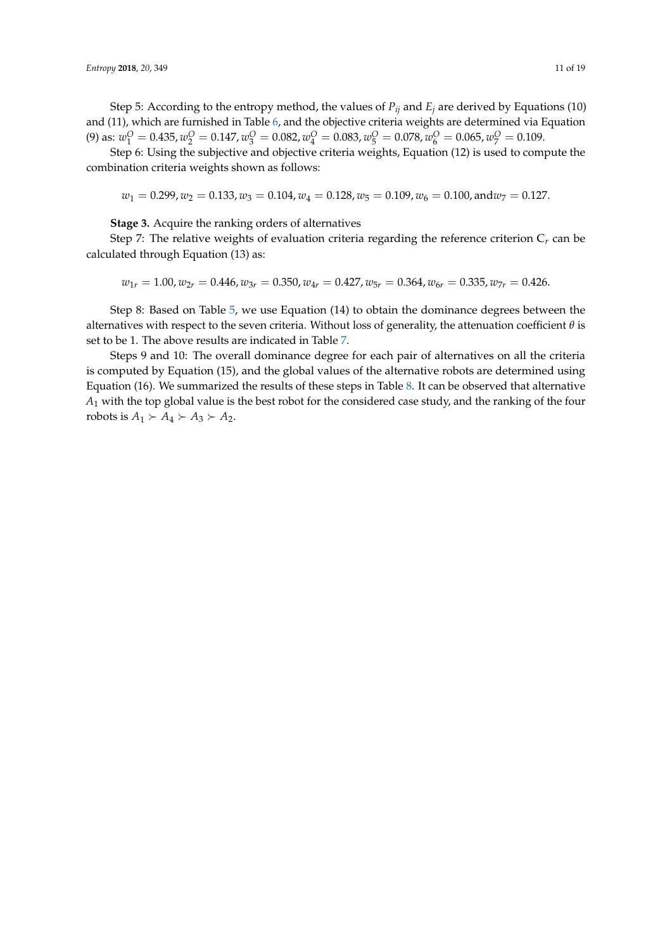Step 5: According to the entropy method, the values of  $P_{ij}$  and  $E_j$  are derived by Equations (10) and (11), which are furnished in Table [6,](#page-13-1) and the objective criteria weights are determined via Equation (9) as:  $w_1^O = 0.435$ ,  $w_2^O = 0.147$ ,  $w_3^O = 0.082$ ,  $w_4^O = 0.083$ ,  $w_5^O = 0.078$ ,  $w_6^O = 0.065$ ,  $w_7^O = 0.109$ .

Step 6: Using the subjective and objective criteria weights, Equation (12) is used to compute the combination criteria weights shown as follows:

 $w_1 = 0.299, w_2 = 0.133, w_3 = 0.104, w_4 = 0.128, w_5 = 0.109, w_6 = 0.100, \text{and } w_7 = 0.127.$ 

**Stage 3.** Acquire the ranking orders of alternatives

Step 7: The relative weights of evaluation criteria regarding the reference criterion C*r* can be calculated through Equation (13) as:

$$
w_{1r} = 1.00, w_{2r} = 0.446, w_{3r} = 0.350, w_{4r} = 0.427, w_{5r} = 0.364, w_{6r} = 0.335, w_{7r} = 0.426.
$$

Step 8: Based on Table [5,](#page-13-0) we use Equation (14) to obtain the dominance degrees between the alternatives with respect to the seven criteria. Without loss of generality, the attenuation coefficient *θ* is set to be 1. The above results are indicated in Table [7.](#page-14-0)

Steps 9 and 10: The overall dominance degree for each pair of alternatives on all the criteria is computed by Equation (15), and the global values of the alternative robots are determined using Equation (16). We summarized the results of these steps in Table [8.](#page-14-1) It can be observed that alternative *A*<sup>1</sup> with the top global value is the best robot for the considered case study, and the ranking of the four robots is  $A_1 \succ A_4 \succ A_3 \succ A_2$ .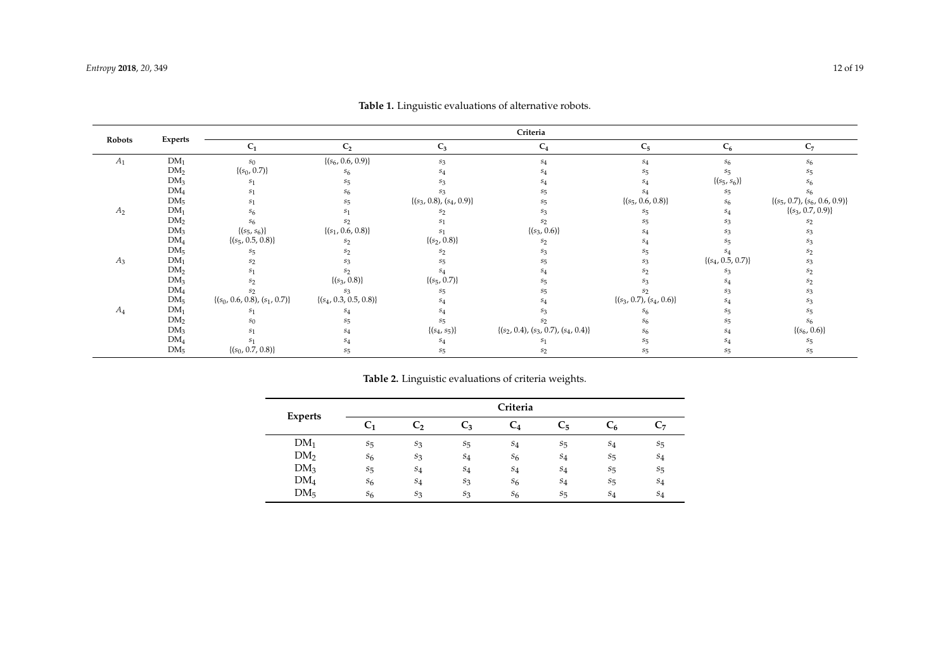| Robots | Experts         | Criteria                           |                             |                               |                                             |                               |                       |                                    |  |
|--------|-----------------|------------------------------------|-----------------------------|-------------------------------|---------------------------------------------|-------------------------------|-----------------------|------------------------------------|--|
|        |                 | C <sub>1</sub>                     | C <sub>2</sub>              | $C_3$                         | $C_4$                                       | $C_5$                         | $C_6$                 | $C_7$                              |  |
| $A_1$  | DM <sub>1</sub> | $s_0$                              | $\{(s_6, 0.6, 0.9)\}\;$     | $S_3$                         | $S_4$                                       | S <sub>4</sub>                | S <sub>6</sub>        | S <sub>6</sub>                     |  |
|        | DM <sub>2</sub> | $\{(s_0,\,0.7)\}$                  | $S_6$                       |                               |                                             |                               | $s_{5}$               |                                    |  |
|        | DM <sub>3</sub> | S <sub>1</sub>                     |                             |                               |                                             |                               | $\{(s_5, s_6)\}\;$    |                                    |  |
|        | DM <sub>4</sub> | S <sub>1</sub>                     |                             |                               |                                             |                               | $S_{\overline{2}}$    |                                    |  |
|        | DM <sub>5</sub> | S <sub>1</sub>                     |                             | $\{(s_3, 0.8), (s_4, 0.9)\}\$ |                                             | $\{(s_5, 0.6, 0.8)\}$         | S6                    | $\{(s_5, 0.7), (s_6, 0.6, 0.9)\}\$ |  |
| $A_2$  | DM <sub>1</sub> | $S_6$                              |                             |                               |                                             | $S_{\overline{2}}$            | $S_{\varDelta}$       | $\{(s_3, 0.7, 0.9)\}\$             |  |
|        | DM <sub>2</sub> | $S_6$                              |                             |                               |                                             |                               |                       |                                    |  |
|        | DM <sub>3</sub> | $\{(s_5, s_6)\}\$                  | $\{(s_1, 0.6, 0.8)\}\$      |                               | $\{(s_3, 0.6)\}\$                           |                               |                       |                                    |  |
|        | DM <sub>4</sub> | $\{(s_5, 0.5, 0.8)\}\$             | S <sub>2</sub>              | $\{(s_2, 0.8)\}\$             | S <sub>2</sub>                              |                               |                       |                                    |  |
|        | DM <sub>5</sub> | $S_{\overline{5}}$                 |                             |                               |                                             |                               |                       |                                    |  |
| $A_3$  | DM <sub>1</sub> | S <sub>2</sub>                     |                             |                               |                                             |                               | $\{(s_4, 0.5, 0.7)\}$ |                                    |  |
|        | DM <sub>2</sub> | s <sub>1</sub>                     |                             |                               |                                             |                               |                       |                                    |  |
|        | DM <sub>3</sub> | s <sub>2</sub>                     | $\{(s_3, 0.8)\}\$           | $\{(s_5, 0.7)\}\$             |                                             |                               |                       |                                    |  |
|        | DM <sub>4</sub> | $s_2$                              | $S_3$                       | $S_{\overline{2}}$            |                                             |                               |                       |                                    |  |
|        | DM <sub>5</sub> | $\{(s_0,$ 0.6, 0.8), $(s_1,$ 0.7)} | $\{(s_4, 0.3, 0.5, 0.8)\}\$ |                               |                                             | $\{(s_3, 0.7), (s_4, 0.6)\}\$ |                       |                                    |  |
| $A_4$  | DM <sub>1</sub> | S <sub>1</sub>                     |                             |                               |                                             |                               |                       |                                    |  |
|        | DM <sub>2</sub> | s <sub>0</sub>                     |                             | $S_{\overline{2}}$            |                                             |                               |                       |                                    |  |
|        | DM <sub>3</sub> | S <sub>1</sub>                     | $S_4$                       | $\{(s_4, s_5)\}\;$            | $\{(s_2,$ 0.4), $(s_3,$ 0.7), $(s_4,$ 0.4)} |                               |                       | $\{(s_6, 0.6)\}\$                  |  |
|        | DM <sub>4</sub> | S <sub>1</sub>                     |                             | S <sub>4</sub>                |                                             |                               |                       |                                    |  |
|        | DM <sub>5</sub> | $\{(s_0, 0.7, 0.8)\}\$             |                             | $S_5$                         | S٥                                          |                               |                       |                                    |  |

**Table 1.** Linguistic evaluations of alternative robots.

|  |  | Table 2. Linguistic evaluations of criteria weights. |  |  |  |
|--|--|------------------------------------------------------|--|--|--|
|--|--|------------------------------------------------------|--|--|--|

<span id="page-11-1"></span><span id="page-11-0"></span>

|                 |                    |       |       | Criteria   |                    |                    |                    |
|-----------------|--------------------|-------|-------|------------|--------------------|--------------------|--------------------|
| <b>Experts</b>  | C <sub>1</sub>     | C,    | C3    | $\rm{C_4}$ | $C_5$              | Č۶                 | Ų7                 |
| $DM_1$          | $S_{\overline{5}}$ | $S_3$ | $s_5$ | $S_4$      | $S_{\overline{5}}$ | $S_4$              | $s_{5}$            |
| DM <sub>2</sub> | $S_6$              | $S_3$ | $S_4$ | $S_6$      | $s_4$              | $S_{\overline{5}}$ | $S_4$              |
| DM <sub>3</sub> | $S_{\overline{5}}$ | $S_4$ | $S_4$ | $S_4$      | $S_4$              | $S_{\overline{5}}$ | $S_{\overline{5}}$ |
| DM <sub>4</sub> | $s_6$              | $s_4$ | $s_3$ | $S_6$      | $s_4$              | $s_{5}$            | $s_4$              |
| DM <sub>5</sub> | S <sub>6</sub>     | $S_3$ | $s_3$ | $S_6$      | $S_{\overline{5}}$ | $S_4$              | $S_4$              |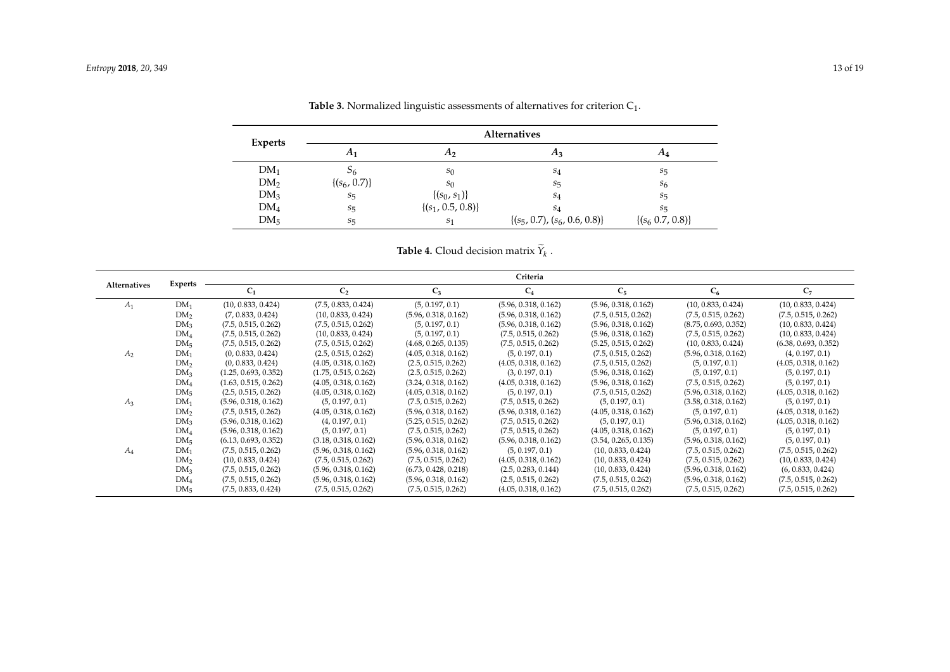|                 | <b>Alternatives</b> |                        |                                    |                        |  |  |  |  |
|-----------------|---------------------|------------------------|------------------------------------|------------------------|--|--|--|--|
| Experts         | $A_1$               | $A_2$                  | $A_3$                              | $A_4$                  |  |  |  |  |
| DM <sub>1</sub> | 56                  | s <sub>0</sub>         | $S_4$                              | $S_5$                  |  |  |  |  |
| DM <sub>2</sub> | $\{(s_6, 0.7)\}\$   | $s_0$                  | $S_{\overline{5}}$                 | $S_6$                  |  |  |  |  |
| DM <sub>3</sub> | $S_{\overline{5}}$  | $\{(s_0, s_1)\}\$      | $S_4$                              | $S_{\overline{5}}$     |  |  |  |  |
| DM <sub>4</sub> | $S_{\overline{5}}$  | $\{(s_1, 0.5, 0.8)\}\$ | $S_4$                              | $S_{\overline{5}}$     |  |  |  |  |
| DM <sub>5</sub> | $S_{\overline{5}}$  | S <sub>1</sub>         | $\{(s_5, 0.7), (s_6, 0.6, 0.8)\}\$ | $\{(s_6, 0.7, 0.8)\}\$ |  |  |  |  |

**Table 3.** Normalized linguistic assessments of alternatives for criterion  $C_1$ .

**Table 4.** Cloud decision matrix  $Y_k$  .

<span id="page-12-1"></span><span id="page-12-0"></span>

|                | <b>Experts</b>  |                      |                      |                      | Criteria             |                      |                      |                      |
|----------------|-----------------|----------------------|----------------------|----------------------|----------------------|----------------------|----------------------|----------------------|
| Alternatives   |                 | $C_1$                | C <sub>2</sub>       | $C_3$                | $C_4$                | $C_5$                | $C_6$                | $C_7$                |
| $A_1$          | $DM_1$          | (10, 0.833, 0.424)   | (7.5, 0.833, 0.424)  | (5, 0.197, 0.1)      | (5.96, 0.318, 0.162) | (5.96, 0.318, 0.162) | (10, 0.833, 0.424)   | (10, 0.833, 0.424)   |
|                | DM <sub>2</sub> | (7, 0.833, 0.424)    | (10, 0.833, 0.424)   | (5.96, 0.318, 0.162) | (5.96, 0.318, 0.162) | (7.5, 0.515, 0.262)  | (7.5, 0.515, 0.262)  | (7.5, 0.515, 0.262)  |
|                | DM <sub>3</sub> | (7.5, 0.515, 0.262)  | (7.5, 0.515, 0.262)  | (5, 0.197, 0.1)      | (5.96, 0.318, 0.162) | (5.96, 0.318, 0.162) | (8.75, 0.693, 0.352) | (10, 0.833, 0.424)   |
|                | DM <sub>4</sub> | (7.5, 0.515, 0.262)  | (10, 0.833, 0.424)   | (5, 0.197, 0.1)      | (7.5, 0.515, 0.262)  | (5.96, 0.318, 0.162) | (7.5, 0.515, 0.262)  | (10, 0.833, 0.424)   |
|                | DM <sub>5</sub> | (7.5, 0.515, 0.262)  | (7.5, 0.515, 0.262)  | (4.68, 0.265, 0.135) | (7.5, 0.515, 0.262)  | (5.25, 0.515, 0.262) | (10, 0.833, 0.424)   | (6.38, 0.693, 0.352) |
| A <sub>2</sub> | $DM_1$          | (0, 0.833, 0.424)    | (2.5, 0.515, 0.262)  | (4.05, 0.318, 0.162) | (5, 0.197, 0.1)      | (7.5, 0.515, 0.262)  | (5.96, 0.318, 0.162) | (4, 0.197, 0.1)      |
|                | DM <sub>2</sub> | (0, 0.833, 0.424)    | (4.05, 0.318, 0.162) | (2.5, 0.515, 0.262)  | (4.05, 0.318, 0.162) | (7.5, 0.515, 0.262)  | (5, 0.197, 0.1)      | (4.05, 0.318, 0.162) |
|                | DM <sub>3</sub> | (1.25, 0.693, 0.352) | (1.75, 0.515, 0.262) | (2.5, 0.515, 0.262)  | (3, 0.197, 0.1)      | (5.96, 0.318, 0.162) | (5, 0.197, 0.1)      | (5, 0.197, 0.1)      |
|                | DM <sub>4</sub> | (1.63, 0.515, 0.262) | (4.05, 0.318, 0.162) | (3.24, 0.318, 0.162) | (4.05, 0.318, 0.162) | (5.96, 0.318, 0.162) | (7.5, 0.515, 0.262)  | (5, 0.197, 0.1)      |
|                | DM <sub>5</sub> | (2.5, 0.515, 0.262)  | (4.05, 0.318, 0.162) | (4.05, 0.318, 0.162) | (5, 0.197, 0.1)      | (7.5, 0.515, 0.262)  | (5.96, 0.318, 0.162) | (4.05, 0.318, 0.162) |
| $A_3$          | $DM_1$          | (5.96, 0.318, 0.162) | (5, 0.197, 0.1)      | (7.5, 0.515, 0.262)  | (7.5, 0.515, 0.262)  | (5, 0.197, 0.1)      | (3.58, 0.318, 0.162) | (5, 0.197, 0.1)      |
|                | DM <sub>2</sub> | (7.5, 0.515, 0.262)  | (4.05, 0.318, 0.162) | (5.96, 0.318, 0.162) | (5.96, 0.318, 0.162) | (4.05, 0.318, 0.162) | (5, 0.197, 0.1)      | (4.05, 0.318, 0.162) |
|                | DM <sub>3</sub> | (5.96, 0.318, 0.162) | (4, 0.197, 0.1)      | (5.25, 0.515, 0.262) | (7.5, 0.515, 0.262)  | (5, 0.197, 0.1)      | (5.96, 0.318, 0.162) | (4.05, 0.318, 0.162) |
|                | DM <sub>4</sub> | (5.96, 0.318, 0.162) | (5, 0.197, 0.1)      | (7.5, 0.515, 0.262)  | (7.5, 0.515, 0.262)  | (4.05, 0.318, 0.162) | (5, 0.197, 0.1)      | (5, 0.197, 0.1)      |
|                | DM <sub>5</sub> | (6.13, 0.693, 0.352) | (3.18, 0.318, 0.162) | (5.96, 0.318, 0.162) | (5.96, 0.318, 0.162) | (3.54, 0.265, 0.135) | (5.96, 0.318, 0.162) | (5, 0.197, 0.1)      |
| $A_4$          | $DM_1$          | (7.5, 0.515, 0.262)  | (5.96, 0.318, 0.162) | (5.96, 0.318, 0.162) | (5, 0.197, 0.1)      | (10, 0.833, 0.424)   | (7.5, 0.515, 0.262)  | (7.5, 0.515, 0.262)  |
|                | DM <sub>2</sub> | (10, 0.833, 0.424)   | (7.5, 0.515, 0.262)  | (7.5, 0.515, 0.262)  | (4.05, 0.318, 0.162) | (10, 0.833, 0.424)   | (7.5, 0.515, 0.262)  | (10, 0.833, 0.424)   |
|                | DM <sub>3</sub> | (7.5, 0.515, 0.262)  | (5.96, 0.318, 0.162) | (6.73, 0.428, 0.218) | (2.5, 0.283, 0.144)  | (10, 0.833, 0.424)   | (5.96, 0.318, 0.162) | (6, 0.833, 0.424)    |
|                | DM <sub>4</sub> | (7.5, 0.515, 0.262)  | (5.96, 0.318, 0.162) | (5.96, 0.318, 0.162) | (2.5, 0.515, 0.262)  | (7.5, 0.515, 0.262)  | (5.96, 0.318, 0.162) | (7.5, 0.515, 0.262)  |
|                | DM <sub>5</sub> | (7.5, 0.833, 0.424)  | (7.5, 0.515, 0.262)  | (7.5, 0.515, 0.262)  | (4.05, 0.318, 0.162) | (7.5, 0.515, 0.262)  | (7.5, 0.515, 0.262)  | (7.5, 0.515, 0.262)  |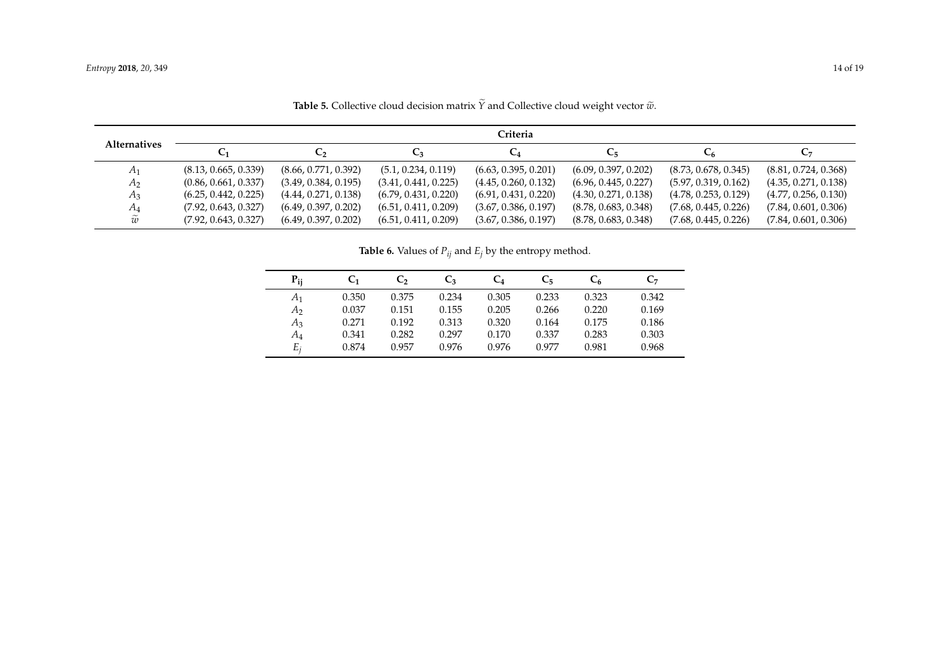| <b>Alternatives</b> | Criteria             |                      |                      |                      |                      |                      |                      |  |  |  |
|---------------------|----------------------|----------------------|----------------------|----------------------|----------------------|----------------------|----------------------|--|--|--|
|                     | C <sub>1</sub>       | $\mathsf{C}_2$       | $C_3$                | $C_4$                | U5                   | $C_6$                | $C_7$                |  |  |  |
| $A_1$               | (8.13, 0.665, 0.339) | (8.66, 0.771, 0.392) | (5.1, 0.234, 0.119)  | (6.63, 0.395, 0.201) | (6.09, 0.397, 0.202) | (8.73, 0.678, 0.345) | (8.81, 0.724, 0.368) |  |  |  |
| $A_2$               | (0.86, 0.661, 0.337) | (3.49, 0.384, 0.195) | (3.41, 0.441, 0.225) | (4.45, 0.260, 0.132) | (6.96, 0.445, 0.227) | (5.97, 0.319, 0.162) | (4.35, 0.271, 0.138) |  |  |  |
| $A_3$               | (6.25, 0.442, 0.225) | (4.44, 0.271, 0.138) | (6.79, 0.431, 0.220) | (6.91, 0.431, 0.220) | (4.30, 0.271, 0.138) | (4.78, 0.253, 0.129) | (4.77, 0.256, 0.130) |  |  |  |
| A4                  | (7.92, 0.643, 0.327) | (6.49, 0.397, 0.202) | (6.51, 0.411, 0.209) | (3.67, 0.386, 0.197) | (8.78, 0.683, 0.348) | (7.68, 0.445, 0.226) | (7.84, 0.601, 0.306) |  |  |  |
| $\widetilde{w}$     | (7.92, 0.643, 0.327) | (6.49, 0.397, 0.202) | (6.51, 0.411, 0.209) | (3.67, 0.386, 0.197) | (8.78, 0.683, 0.348) | (7.68, 0.445, 0.226) | (7.84, 0.601, 0.306) |  |  |  |

**Table 5.** Collective cloud decision matrix  $\widetilde{Y}$  and Collective cloud weight vector  $\widetilde{w}$ .

**Table 6.** Values of  $P_{ij}$  and  $E_j$  by the entropy method.

<span id="page-13-1"></span><span id="page-13-0"></span>

| $P_{ii}$ | $\mathbf{C_{1}}$ | C,    | $C_3$ | $C_4$ | C5    | $\mathrm{C}_6$ | $\mathbf{C}_7$ |
|----------|------------------|-------|-------|-------|-------|----------------|----------------|
| $A_1$    | 0.350            | 0.375 | 0.234 | 0.305 | 0.233 | 0.323          | 0.342          |
| A2       | 0.037            | 0.151 | 0.155 | 0.205 | 0.266 | 0.220          | 0.169          |
| $A_3$    | 0.271            | 0.192 | 0.313 | 0.320 | 0.164 | 0.175          | 0.186          |
| $A_4$    | 0.341            | 0.282 | 0.297 | 0.170 | 0.337 | 0.283          | 0.303          |
| $E_i$    | 0.874            | 0.957 | 0.976 | 0.976 | 0.977 | 0.981          | 0.968          |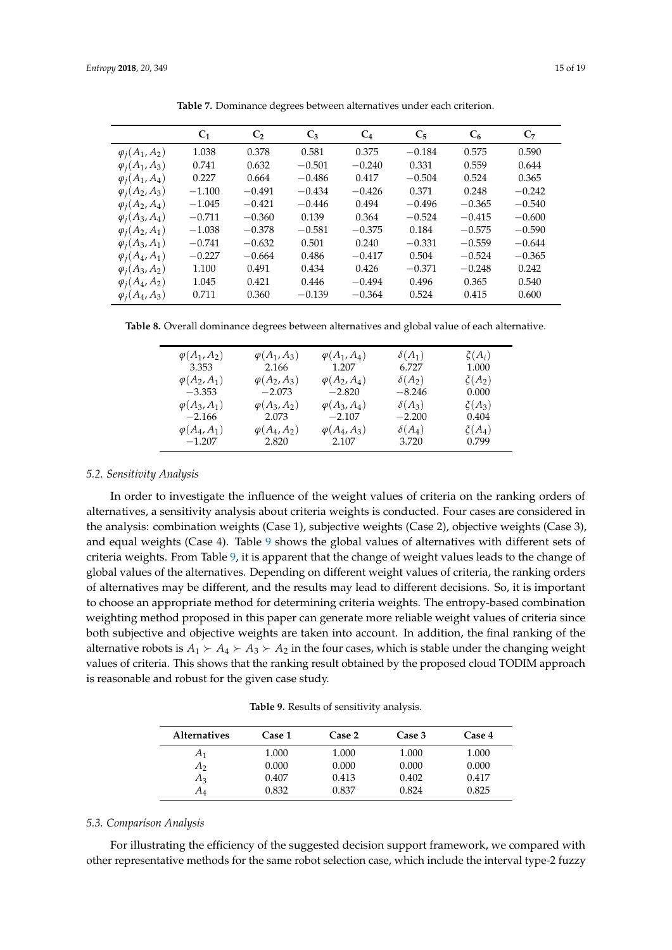<span id="page-14-0"></span>

|                       | $C_1$    | C <sub>2</sub> | $C_3$    | $C_4$    | $C_5$    | $C_6$    | C <sub>7</sub> |
|-----------------------|----------|----------------|----------|----------|----------|----------|----------------|
| $\varphi_i(A_1, A_2)$ | 1.038    | 0.378          | 0.581    | 0.375    | $-0.184$ | 0.575    | 0.590          |
| $\varphi_i(A_1, A_3)$ | 0.741    | 0.632          | $-0.501$ | $-0.240$ | 0.331    | 0.559    | 0.644          |
| $\varphi_i(A_1, A_4)$ | 0.227    | 0.664          | $-0.486$ | 0.417    | $-0.504$ | 0.524    | 0.365          |
| $\varphi_i(A_2, A_3)$ | $-1.100$ | $-0.491$       | $-0.434$ | $-0.426$ | 0.371    | 0.248    | $-0.242$       |
| $\varphi_i(A_2, A_4)$ | $-1.045$ | $-0.421$       | $-0.446$ | 0.494    | $-0.496$ | $-0.365$ | $-0.540$       |
| $\varphi_i(A_3, A_4)$ | $-0.711$ | $-0.360$       | 0.139    | 0.364    | $-0.524$ | $-0.415$ | $-0.600$       |
| $\varphi_i(A_2, A_1)$ | $-1.038$ | $-0.378$       | $-0.581$ | $-0.375$ | 0.184    | $-0.575$ | $-0.590$       |
| $\varphi_i(A_3,A_1)$  | $-0.741$ | $-0.632$       | 0.501    | 0.240    | $-0.331$ | $-0.559$ | $-0.644$       |
| $\varphi_i(A_4,A_1)$  | $-0.227$ | $-0.664$       | 0.486    | $-0.417$ | 0.504    | $-0.524$ | $-0.365$       |
| $\varphi_i(A_3, A_2)$ | 1.100    | 0.491          | 0.434    | 0.426    | $-0.371$ | $-0.248$ | 0.242          |
| $\varphi_i(A_4,A_2)$  | 1.045    | 0.421          | 0.446    | $-0.494$ | 0.496    | 0.365    | 0.540          |
| $\varphi_i(A_4, A_3)$ | 0.711    | 0.360          | $-0.139$ | $-0.364$ | 0.524    | 0.415    | 0.600          |

**Table 7.** Dominance degrees between alternatives under each criterion.

<span id="page-14-1"></span>**Table 8.** Overall dominance degrees between alternatives and global value of each alternative.

| $\varphi(A_1, A_2)$ | $\varphi(A_1, A_3)$ | $\varphi(A_1, A_4)$ | $\delta(A_1)$ | $\zeta(A_i)$ |
|---------------------|---------------------|---------------------|---------------|--------------|
| 3.353               | 2.166               | 1.207               | 6.727         | 1.000        |
| $\varphi(A_2,A_1)$  | $\varphi(A_2, A_3)$ | $\varphi(A_2, A_4)$ | $\delta(A_2)$ | $\xi(A_2)$   |
| $-3.353$            | $-2.073$            | $-2.820$            | $-8.246$      | 0.000        |
| $\varphi(A_3, A_1)$ | $\varphi(A_3, A_2)$ | $\varphi(A_3, A_4)$ | $\delta(A_3)$ | $\zeta(A_3)$ |
| $-2.166$            | 2.073               | $-2.107$            | $-2.200$      | 0.404        |
| $\varphi(A_4,A_1)$  | $\varphi(A_4, A_2)$ | $\varphi(A_4, A_3)$ | $\delta(A_4)$ | $\xi(A_4)$   |
| $-1.207$            | 2.820               | 2.107               | 3.720         | 0.799        |

#### *5.2. Sensitivity Analysis*

In order to investigate the influence of the weight values of criteria on the ranking orders of alternatives, a sensitivity analysis about criteria weights is conducted. Four cases are considered in the analysis: combination weights (Case 1), subjective weights (Case 2), objective weights (Case 3), and equal weights (Case 4). Table [9](#page-14-2) shows the global values of alternatives with different sets of criteria weights. From Table [9,](#page-14-2) it is apparent that the change of weight values leads to the change of global values of the alternatives. Depending on different weight values of criteria, the ranking orders of alternatives may be different, and the results may lead to different decisions. So, it is important to choose an appropriate method for determining criteria weights. The entropy-based combination weighting method proposed in this paper can generate more reliable weight values of criteria since both subjective and objective weights are taken into account. In addition, the final ranking of the alternative robots is  $A_1 \succ A_4 \succ A_3 \succ A_2$  in the four cases, which is stable under the changing weight values of criteria. This shows that the ranking result obtained by the proposed cloud TODIM approach is reasonable and robust for the given case study.

**Table 9.** Results of sensitivity analysis.

<span id="page-14-2"></span>

| <b>Alternatives</b> | Case 1 | Case 2 | Case 3 | Case 4 |
|---------------------|--------|--------|--------|--------|
| A1                  | 1.000  | 1.000  | 1.000  | 1.000  |
| A <sub>2</sub>      | 0.000  | 0.000  | 0.000  | 0.000  |
| $A_3$               | 0.407  | 0.413  | 0.402  | 0.417  |
| $A_4$               | 0.832  | 0.837  | 0.824  | 0.825  |

#### *5.3. Comparison Analysis*

For illustrating the efficiency of the suggested decision support framework, we compared with other representative methods for the same robot selection case, which include the interval type-2 fuzzy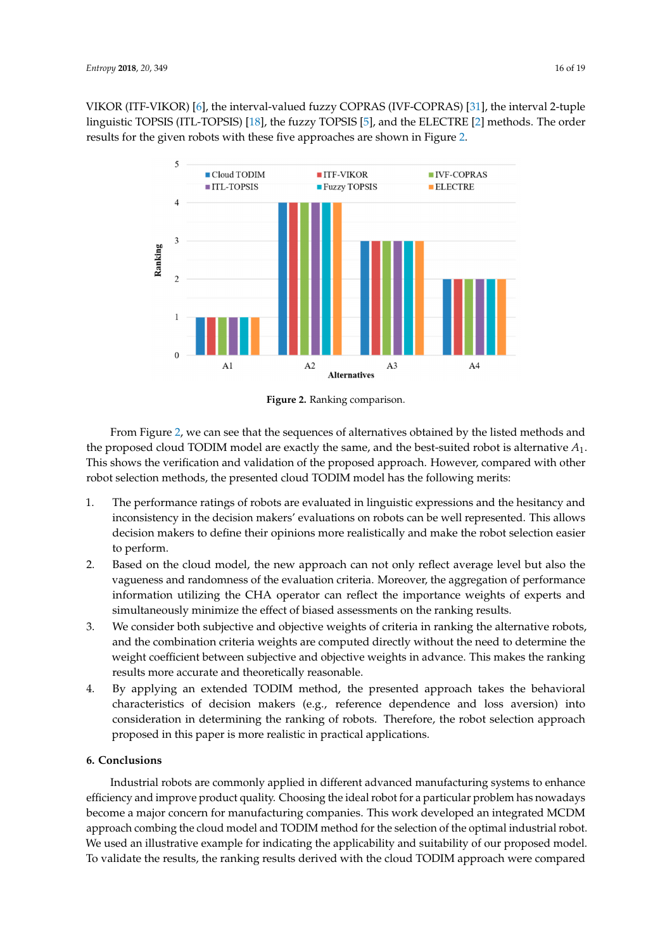<span id="page-15-1"></span>V[IK](#page-16-4)OR (ITF-VIKOR) [6], the interval-valued fuzzy C[OPR](#page--1-19)AS (IVF-COPRAS) [31], the interval 2-tuple linguistic [TOP](#page--1-6)SIS (ITL-TOPSIS) [18], the fuzz[y T](#page-16-3)OPSIS [5], and the [EL](#page-16-10)ECTRE [2] methods. The order results for the given robots with these five approaches are sho[wn](#page-15-1) in Figure 2.





From Figure 2, we can see that the sequences of alternatives obtained by the listed methods and the proposed cloud TODIM model are exactly the same, and the best-suited robot is alternative *A*1. From Figure [2,](#page-15-1) we can see that the sequences of alternatives obtained by the listed methods and the proposed cloud TODIM model are exactly the same, and the best-suited robot is alternative  $A_1$ .<br> $\mathbb{F}$ This shows the verification and validation of the proposed approach. However, compared with other robot selection methods, the presented cloud TODIM model has the following merits:

- 1. The performance ratings of robots are evaluated in linguistic expressions and the hesitancy and 1. The performance ratings of robots are evaluated in linguistic expressions and the hesitancy and inconsistency in the decision makers' evaluations on robots can be well represented. This allows inconsistency in the decision makers' evaluations on robots can be well represented. This allows decision makers to define their opinions more realistically and make the robot selection easier decision makers to define their opinions more realistically and make the robot selection easier to perform. to perform.
- 2. Based on the cloud model, the new approach can not only reflect average level but also the 2. Based on the cloud model, the new approach can not only reflect average level but also the vagueness and randomness of the evaluation criteria. Moreover, the aggregation of performance vagueness and randomness of the evaluation criteria. Moreover, the aggregation of performance information utilizing the CHA operator can reflect the importance weights of experts and information utilizing the CHA operator can reflect the importance weights of experts and simultaneously minimize the effect of biased assessments on the ranking results. simultaneously minimize the effect of biased assessments on the ranking results.
- 3. We consider both subjective and objective weights of criteria in ranking the alternative robots, 3. We consider both subjective and objective weights of criteria in ranking the alternative robots, and the combination criteria weights are computed directly without the need to determine the weight coefficient between subjective and objective weights in advance. This makes the ranking weight coefficient between subjective and objective weights in advance. This makes the ranking results more accurate and theoretically reasonable. results more accurate and theoretically reasonable.
- 4. By applying an extended TODIM method, the presented approach takes the behavioral 4. By applying an extended TODIM method, the presented approach takes the behavioral characteristics of decision makers (e.g., reference dependence and loss aversion) into characteristics of decision makers (e.g., reference dependence and loss aversion) into consideration in determining the ranking of robots. Therefore, the robot selection approach consideration in determining the ranking of robots. Therefore, the robot selection approach proposed in this paper is more realistic in practical applications. proposed in this paper is more realistic in practical applications.

# <span id="page-15-0"></span>**6. Conclusions 6. Conclusions**

Industrial robots are commonly applied in different advanced manufacturing systems to Industrial robots are commonly applied in different advanced manufacturing systems to enhance efficiency and improve product quality. Choosing the ideal robot for a particular problem has nowadays become a major concern for manufacturing companies. This work developed an integrated MCDM approach combing the cloud model and TODIM method for the selection of the optimal industrial robot. We used an illustrative example for indicating the applicability and suitability of our proposed model. To validate the results, the ranking results derived with the cloud TODIM approach were compared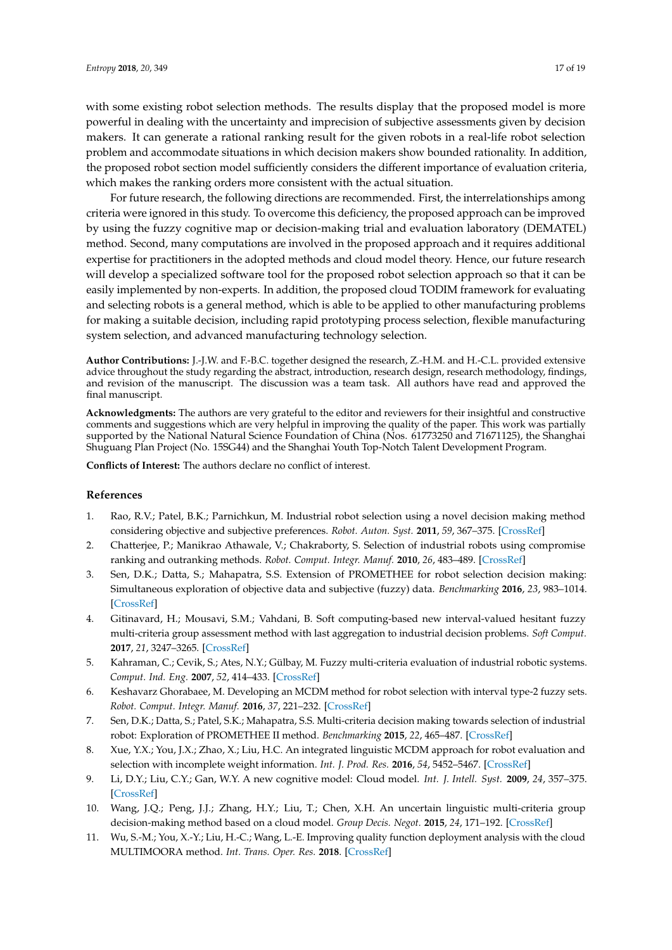with some existing robot selection methods. The results display that the proposed model is more powerful in dealing with the uncertainty and imprecision of subjective assessments given by decision makers. It can generate a rational ranking result for the given robots in a real-life robot selection problem and accommodate situations in which decision makers show bounded rationality. In addition, the proposed robot section model sufficiently considers the different importance of evaluation criteria, which makes the ranking orders more consistent with the actual situation.

For future research, the following directions are recommended. First, the interrelationships among criteria were ignored in this study. To overcome this deficiency, the proposed approach can be improved by using the fuzzy cognitive map or decision-making trial and evaluation laboratory (DEMATEL) method. Second, many computations are involved in the proposed approach and it requires additional expertise for practitioners in the adopted methods and cloud model theory. Hence, our future research will develop a specialized software tool for the proposed robot selection approach so that it can be easily implemented by non-experts. In addition, the proposed cloud TODIM framework for evaluating and selecting robots is a general method, which is able to be applied to other manufacturing problems for making a suitable decision, including rapid prototyping process selection, flexible manufacturing system selection, and advanced manufacturing technology selection.

**Author Contributions:** J.-J.W. and F.-B.C. together designed the research, Z.-H.M. and H.-C.L. provided extensive advice throughout the study regarding the abstract, introduction, research design, research methodology, findings, and revision of the manuscript. The discussion was a team task. All authors have read and approved the final manuscript.

**Acknowledgments:** The authors are very grateful to the editor and reviewers for their insightful and constructive comments and suggestions which are very helpful in improving the quality of the paper. This work was partially supported by the National Natural Science Foundation of China (Nos. 61773250 and 71671125), the Shanghai Shuguang Plan Project (No. 15SG44) and the Shanghai Youth Top-Notch Talent Development Program.

**Conflicts of Interest:** The authors declare no conflict of interest.

#### **References**

- <span id="page-16-0"></span>1. Rao, R.V.; Patel, B.K.; Parnichkun, M. Industrial robot selection using a novel decision making method considering objective and subjective preferences. *Robot. Auton. Syst.* **2011**, *59*, 367–375. [\[CrossRef\]](http://dx.doi.org/10.1016/j.robot.2011.01.005)
- <span id="page-16-10"></span>2. Chatterjee, P.; Manikrao Athawale, V.; Chakraborty, S. Selection of industrial robots using compromise ranking and outranking methods. *Robot. Comput. Integr. Manuf.* **2010**, *26*, 483–489. [\[CrossRef\]](http://dx.doi.org/10.1016/j.rcim.2010.03.007)
- <span id="page-16-1"></span>3. Sen, D.K.; Datta, S.; Mahapatra, S.S. Extension of PROMETHEE for robot selection decision making: Simultaneous exploration of objective data and subjective (fuzzy) data. *Benchmarking* **2016**, *23*, 983–1014. [\[CrossRef\]](http://dx.doi.org/10.1108/BIJ-08-2015-0081)
- <span id="page-16-2"></span>4. Gitinavard, H.; Mousavi, S.M.; Vahdani, B. Soft computing-based new interval-valued hesitant fuzzy multi-criteria group assessment method with last aggregation to industrial decision problems. *Soft Comput.* **2017**, *21*, 3247–3265. [\[CrossRef\]](http://dx.doi.org/10.1007/s00500-015-2006-9)
- <span id="page-16-3"></span>5. Kahraman, C.; Cevik, S.; Ates, N.Y.; Gülbay, M. Fuzzy multi-criteria evaluation of industrial robotic systems. *Comput. Ind. Eng.* **2007**, *52*, 414–433. [\[CrossRef\]](http://dx.doi.org/10.1016/j.cie.2007.01.005)
- <span id="page-16-4"></span>6. Keshavarz Ghorabaee, M. Developing an MCDM method for robot selection with interval type-2 fuzzy sets. *Robot. Comput. Integr. Manuf.* **2016**, *37*, 221–232. [\[CrossRef\]](http://dx.doi.org/10.1016/j.rcim.2015.04.007)
- <span id="page-16-9"></span>7. Sen, D.K.; Datta, S.; Patel, S.K.; Mahapatra, S.S. Multi-criteria decision making towards selection of industrial robot: Exploration of PROMETHEE II method. *Benchmarking* **2015**, *22*, 465–487. [\[CrossRef\]](http://dx.doi.org/10.1108/BIJ-05-2014-0046)
- <span id="page-16-5"></span>8. Xue, Y.X.; You, J.X.; Zhao, X.; Liu, H.C. An integrated linguistic MCDM approach for robot evaluation and selection with incomplete weight information. *Int. J. Prod. Res.* **2016**, *54*, 5452–5467. [\[CrossRef\]](http://dx.doi.org/10.1080/00207543.2016.1146418)
- <span id="page-16-6"></span>9. Li, D.Y.; Liu, C.Y.; Gan, W.Y. A new cognitive model: Cloud model. *Int. J. Intell. Syst.* **2009**, *24*, 357–375. [\[CrossRef\]](http://dx.doi.org/10.1002/int.20340)
- <span id="page-16-7"></span>10. Wang, J.Q.; Peng, J.J.; Zhang, H.Y.; Liu, T.; Chen, X.H. An uncertain linguistic multi-criteria group decision-making method based on a cloud model. *Group Decis. Negot.* **2015**, *24*, 171–192. [\[CrossRef\]](http://dx.doi.org/10.1007/s10726-014-9385-7)
- <span id="page-16-8"></span>11. Wu, S.-M.; You, X.-Y.; Liu, H.-C.; Wang, L.-E. Improving quality function deployment analysis with the cloud MULTIMOORA method. *Int. Trans. Oper. Res.* **2018**. [\[CrossRef\]](http://dx.doi.org/10.1111/itor.12484)